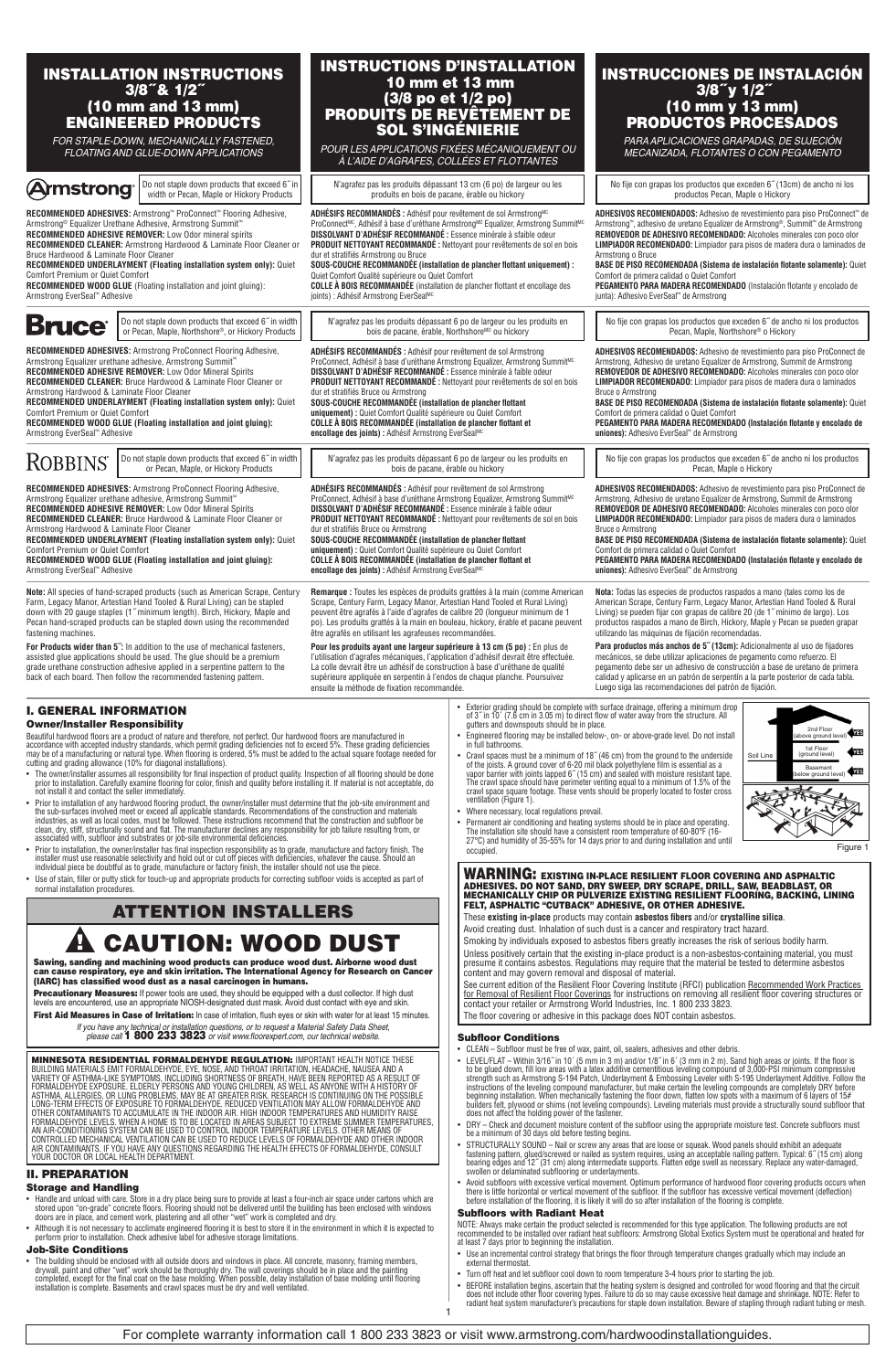| <b>INSTALLATION INSTRUCTIONS</b><br>$3/8$ "& $1/2$ "<br>(10 mm and 13 mm)<br>ENGINEERED PRODUCTS<br>FOR STAPLE-DOWN, MECHANICALLY FASTENED,                                                                                                                                                                                                                                                                                                                                                                                                                                                                                                                                                                                                                                                                                                                                                                                                                                                                                                                                                                                                                                                                                                                                                                                                                                                                                                                                                                                                                                                                                                                                                                                                                                                                                                                      | (3/8 po et 1/2 po)<br><b>SOL S'INGÉNIERIE</b>                                                                                                                                                                                                                                                                                                                                                                                                                                                                                                                                                                                                                                         | <b>INSTRUCTIONS D'INSTALLATION</b><br>10 mm et 13 mm<br><b>PRODUITS DE REVÊTEMENT DE</b><br>POUR LES APPLICATIONS FIXÉES MÉCANIQUEMENT OU                                                                                                                                                                                                                                                                                                                                                                                                                                                                                                                                                                                                                                                                                                                                                                                                                                                                                                                                                                                                                                                                                                                         | <b>INSTRUCCIONES DE INSTALACIÓN</b><br>3/8"y 1/2"<br>(10 mm y 13 mm)<br>PRODUCTOS PROCESADOS<br>PARA APLICACIONES GRAPADAS, DE SUJECIÓN                                                                                                                                                                                                                                                                                                                                                                                                                                                                               |
|------------------------------------------------------------------------------------------------------------------------------------------------------------------------------------------------------------------------------------------------------------------------------------------------------------------------------------------------------------------------------------------------------------------------------------------------------------------------------------------------------------------------------------------------------------------------------------------------------------------------------------------------------------------------------------------------------------------------------------------------------------------------------------------------------------------------------------------------------------------------------------------------------------------------------------------------------------------------------------------------------------------------------------------------------------------------------------------------------------------------------------------------------------------------------------------------------------------------------------------------------------------------------------------------------------------------------------------------------------------------------------------------------------------------------------------------------------------------------------------------------------------------------------------------------------------------------------------------------------------------------------------------------------------------------------------------------------------------------------------------------------------------------------------------------------------------------------------------------------------|---------------------------------------------------------------------------------------------------------------------------------------------------------------------------------------------------------------------------------------------------------------------------------------------------------------------------------------------------------------------------------------------------------------------------------------------------------------------------------------------------------------------------------------------------------------------------------------------------------------------------------------------------------------------------------------|-------------------------------------------------------------------------------------------------------------------------------------------------------------------------------------------------------------------------------------------------------------------------------------------------------------------------------------------------------------------------------------------------------------------------------------------------------------------------------------------------------------------------------------------------------------------------------------------------------------------------------------------------------------------------------------------------------------------------------------------------------------------------------------------------------------------------------------------------------------------------------------------------------------------------------------------------------------------------------------------------------------------------------------------------------------------------------------------------------------------------------------------------------------------------------------------------------------------------------------------------------------------|-----------------------------------------------------------------------------------------------------------------------------------------------------------------------------------------------------------------------------------------------------------------------------------------------------------------------------------------------------------------------------------------------------------------------------------------------------------------------------------------------------------------------------------------------------------------------------------------------------------------------|
| FLOATING AND GLUE-DOWN APPLICATIONS                                                                                                                                                                                                                                                                                                                                                                                                                                                                                                                                                                                                                                                                                                                                                                                                                                                                                                                                                                                                                                                                                                                                                                                                                                                                                                                                                                                                                                                                                                                                                                                                                                                                                                                                                                                                                              | À L'AIDE D'AGRAFES, COLLÉES ET FLOTTANTES                                                                                                                                                                                                                                                                                                                                                                                                                                                                                                                                                                                                                                             |                                                                                                                                                                                                                                                                                                                                                                                                                                                                                                                                                                                                                                                                                                                                                                                                                                                                                                                                                                                                                                                                                                                                                                                                                                                                   | MECANIZADA, FLOTANTES O CON PEGAMENTO                                                                                                                                                                                                                                                                                                                                                                                                                                                                                                                                                                                 |
| Do not staple down products that exceed 6" in<br><b>Armstrong</b><br>width or Pecan, Maple or Hickory Products                                                                                                                                                                                                                                                                                                                                                                                                                                                                                                                                                                                                                                                                                                                                                                                                                                                                                                                                                                                                                                                                                                                                                                                                                                                                                                                                                                                                                                                                                                                                                                                                                                                                                                                                                   | N'agrafez pas les produits dépassant 13 cm (6 po) de largeur ou les<br>produits en bois de pacane, érable ou hickory                                                                                                                                                                                                                                                                                                                                                                                                                                                                                                                                                                  |                                                                                                                                                                                                                                                                                                                                                                                                                                                                                                                                                                                                                                                                                                                                                                                                                                                                                                                                                                                                                                                                                                                                                                                                                                                                   | No fije con grapas los productos que exceden 6" (13cm) de ancho ni los<br>productos Pecan, Maple o Hickory                                                                                                                                                                                                                                                                                                                                                                                                                                                                                                            |
| RECOMMENDED ADHESIVES: Armstrong" ProConnect" Flooring Adhesive,<br>Armstrong® Equalizer Urethane Adhesive, Armstrong Summit <sup>™</sup><br>RECOMMENDED ADHESIVE REMOVER: Low Odor mineral spirits<br>RECOMMENDED CLEANER: Armstrong Hardwood & Laminate Floor Cleaner or<br>Bruce Hardwood & Laminate Floor Cleaner<br>RECOMMENDED UNDERLAYMENT (Floating installation system only): Quiet<br>Comfort Premium or Quiet Comfort<br>RECOMMENDED WOOD GLUE (Floating installation and joint gluing):<br>Armstrong EverSeal" Adhesive                                                                                                                                                                                                                                                                                                                                                                                                                                                                                                                                                                                                                                                                                                                                                                                                                                                                                                                                                                                                                                                                                                                                                                                                                                                                                                                              | ADHÉSIFS RECOMMANDÉS : Adhésif pour revêtement de sol Armstrong <sup>MC</sup><br>ProConnect <sup>Mc</sup> , Adhésif à base d'uréthane Armstrong <sup>MD</sup> Equalizer, Armstrong Summit <sup>MC</sup><br>DISSOLVANT D'ADHÉSIF RECOMMANDÉ : Essence minérale à sfaible odeur<br><b>PRODUIT NETTOYANT RECOMMANDÉ:</b> Nettoyant pour revêtements de sol en bois<br>dur et stratifiés Armstrong ou Bruce<br>SOUS-COUCHE RECOMMANDEE (installation de plancher flottant uniquement) :<br>Quiet Comfort Qualité supérieure ou Quiet Comfort<br><b>COLLE À BOIS RECOMMANDÉE</b> (installation de plancher flottant et encollage des<br>joints) : Adhésif Armstrong EverSeal <sup>MC</sup> |                                                                                                                                                                                                                                                                                                                                                                                                                                                                                                                                                                                                                                                                                                                                                                                                                                                                                                                                                                                                                                                                                                                                                                                                                                                                   | ADHESIVOS RECOMENDADOS: Adhesivo de revestimiento para piso ProConnect <sup>®</sup> de<br>Armstrong", adhesivo de uretano Equalizer de Armstrong®, Summit <sup>™</sup> de Armstrong<br>REMOVEDOR DE ADHESIVO RECOMENDADO: Alcoholes minerales con poco olor<br><b>LIMPIADOR RECOMENDADO:</b> Limpiador para pisos de madera dura o laminados de<br>Armstrong o Bruce<br>BASE DE PISO RECOMENDADA (Sistema de instalación flotante solamente): Quiet<br>Comfort de primera calidad o Quiet Comfort<br>PEGAMENTO PARA MADERA RECOMENDADO (Instalación flotante y encolado de<br>junta): Adhesivo EverSeal" de Armstrong |
| Do not staple down products that exceed 6" in width<br><b>Bruce</b><br>or Pecan, Maple, Northshore®, or Hickory Products                                                                                                                                                                                                                                                                                                                                                                                                                                                                                                                                                                                                                                                                                                                                                                                                                                                                                                                                                                                                                                                                                                                                                                                                                                                                                                                                                                                                                                                                                                                                                                                                                                                                                                                                         | N'agrafez pas les produits dépassant 6 po de largeur ou les produits en<br>bois de pacane, érable, Northshore <sup>MD</sup> ou hickory                                                                                                                                                                                                                                                                                                                                                                                                                                                                                                                                                |                                                                                                                                                                                                                                                                                                                                                                                                                                                                                                                                                                                                                                                                                                                                                                                                                                                                                                                                                                                                                                                                                                                                                                                                                                                                   | No fije con grapas los productos que exceden 6" de ancho ni los productos<br>Pecan, Maple, Northshore® o Hickory                                                                                                                                                                                                                                                                                                                                                                                                                                                                                                      |
| RECOMMENDED ADHESIVES: Armstrong ProConnect Flooring Adhesive,<br>Armstrong Equalizer urethane adhesive, Armstrong Summit <sup>**</sup><br>RECOMMENDED ADHESIVE REMOVER: Low Odor Mineral Spirits<br>RECOMMENDED CLEANER: Bruce Hardwood & Laminate Floor Cleaner or<br>Armstrong Hardwood & Laminate Floor Cleaner<br>RECOMMENDED UNDERLAYMENT (Floating installation system only): Quiet<br>Comfort Premium or Quiet Comfort<br>RECOMMENDED WOOD GLUE (Floating installation and joint gluing):<br>Armstrong EverSeal" Adhesive                                                                                                                                                                                                                                                                                                                                                                                                                                                                                                                                                                                                                                                                                                                                                                                                                                                                                                                                                                                                                                                                                                                                                                                                                                                                                                                                | ADHÉSIFS RECOMMANDÉS : Adhésif pour revêtement de sol Armstrong<br>ProConnect, Adhésif à base d'uréthane Armstrong Equalizer, Armstrong Summit <sup>MC</sup><br><b>DISSOLVANT D'ADHÉSIF RECOMMANDÉ :</b> Essence minérale à faible odeur<br><b>PRODUIT NETTOYANT RECOMMANDÉ:</b> Nettoyant pour revêtements de sol en bois<br>dur et stratifiés Bruce ou Armstrong<br>SOUS-COUCHE RECOMMANDÉE (installation de plancher flottant<br>uniquement) : Quiet Comfort Qualité supérieure ou Quiet Comfort<br>COLLE À BOIS RECOMMANDÉE (installation de plancher flottant et<br>encollage des joints) : Adhésif Armstrong EverSealMC                                                         |                                                                                                                                                                                                                                                                                                                                                                                                                                                                                                                                                                                                                                                                                                                                                                                                                                                                                                                                                                                                                                                                                                                                                                                                                                                                   | ADHESIVOS RECOMENDADOS: Adhesivo de revestimiento para piso ProConnect de<br>Armstrong, Adhesivo de uretano Equalizer de Armstrong, Summit de Armstrong<br>REMOVEDOR DE ADHESIVO RECOMENDADO: Alcoholes minerales con poco olor<br>LIMPIADOR RECOMENDADO: Limpiador para pisos de madera dura o laminados<br>Bruce o Armstrona<br>BASE DE PISO RECOMENDADA (Sistema de instalación flotante solamente): Quiet<br>Comfort de primera calidad o Quiet Comfort<br>PEGAMENTO PARA MADERA RECOMENDADO (Instalación flotante y encolado de<br>uniones): Adhesivo EverSeal <sup>**</sup> de Armstrong                        |
| Do not staple down products that exceed 6" in width<br>ROBBINS<br>or Pecan. Maple, or Hickory Products                                                                                                                                                                                                                                                                                                                                                                                                                                                                                                                                                                                                                                                                                                                                                                                                                                                                                                                                                                                                                                                                                                                                                                                                                                                                                                                                                                                                                                                                                                                                                                                                                                                                                                                                                           | N'agrafez pas les produits dépassant 6 po de largeur ou les produits en<br>bois de pacane, érable ou hickory                                                                                                                                                                                                                                                                                                                                                                                                                                                                                                                                                                          |                                                                                                                                                                                                                                                                                                                                                                                                                                                                                                                                                                                                                                                                                                                                                                                                                                                                                                                                                                                                                                                                                                                                                                                                                                                                   | No fije con grapas los productos que exceden 6" de ancho ni los productos<br>Pecan, Maple o Hickory                                                                                                                                                                                                                                                                                                                                                                                                                                                                                                                   |
| RECOMMENDED ADHESIVES: Armstrong ProConnect Flooring Adhesive,<br>Armstrong Equalizer urethane adhesive, Armstrong Summit <sup>**</sup><br>RECOMMENDED ADHESIVE REMOVER: Low Odor Mineral Spirits<br>RECOMMENDED CLEANER: Bruce Hardwood & Laminate Floor Cleaner or<br>Armstrong Hardwood & Laminate Floor Cleaner<br>RECOMMENDED UNDERLAYMENT (Floating installation system only): Quiet<br><b>Comfort Premium or Quiet Comfort</b><br>RECOMMENDED WOOD GLUE (Floating installation and joint gluing):<br>Armstrong EverSeal" Adhesive                                                                                                                                                                                                                                                                                                                                                                                                                                                                                                                                                                                                                                                                                                                                                                                                                                                                                                                                                                                                                                                                                                                                                                                                                                                                                                                         | <b>ADHÉSIFS RECOMMANDÉS:</b> Adhésif pour revêtement de sol Armstrong<br>ProConnect, Adhésif à base d'uréthane Armstrong Equalizer, Armstrong Summit <sup>MC</sup><br>DISSOLVANT D'ADHÉSIF RECOMMANDÉ : Essence minérale à faible odeur<br>PRODUIT NETTOYANT RECOMMANDÉ : Nettoyant pour revêtements de sol en bois<br>dur et stratifiés Bruce ou Armstrong<br>SOUS-COUCHE RECOMMANDÉE (installation de plancher flottant<br>uniquement) : Quiet Comfort Qualité supérieure ou Quiet Comfort<br>COLLE À BOIS RECOMMANDÉE (installation de plancher flottant et<br>encollage des joints) : Adhésif Armstrong EverSealMC                                                                |                                                                                                                                                                                                                                                                                                                                                                                                                                                                                                                                                                                                                                                                                                                                                                                                                                                                                                                                                                                                                                                                                                                                                                                                                                                                   | <b>ADHESIVOS RECOMENDADOS:</b> Adhesivo de revestimiento para piso ProConnect de<br>Armstrong, Adhesivo de uretano Equalizer de Armstrong, Summit de Armstrong<br>REMOVEDOR DE ADHESIVO RECOMENDADO: Alcoholes minerales con poco olor<br>LIMPIADOR RECOMENDADO: Limpiador para pisos de madera dura o laminados<br><b>Bruce o Armstrong</b><br>BASE DE PISO RECOMENDADA (Sistema de instalación flotante solamente): Quiet<br>Comfort de primera calidad o Quiet Comfort<br>PEGAMENTO PARA MADERA RECOMENDADO (Instalación flotante y encolado de<br>uniones): Adhesivo EverSeal" de Armstrong                       |
| Note: All species of hand-scraped products (such as American Scrape, Century<br>Farm, Legacy Manor, Artestian Hand Tooled & Rural Living) can be stapled<br>down with 20 gauge staples (1" minimum length). Birch, Hickory, Maple and<br>Pecan hand-scraped products can be stapled down using the recommended<br>fastening machines.                                                                                                                                                                                                                                                                                                                                                                                                                                                                                                                                                                                                                                                                                                                                                                                                                                                                                                                                                                                                                                                                                                                                                                                                                                                                                                                                                                                                                                                                                                                            | Remarque : Toutes les espèces de produits grattées à la main (comme American<br>Scrape, Century Farm, Legacy Manor, Artestian Hand Tooled et Rural Living)<br>peuvent être agrafés à l'aide d'agrafes de calibre 20 (longueur minimum de 1<br>po). Les produits grattés à la main en bouleau, hickory, érable et pacane peuvent<br>être agrafés en utilisant les agrafeuses recommandées.                                                                                                                                                                                                                                                                                             |                                                                                                                                                                                                                                                                                                                                                                                                                                                                                                                                                                                                                                                                                                                                                                                                                                                                                                                                                                                                                                                                                                                                                                                                                                                                   | Nota: Todas las especies de productos raspados a mano (tales como los de<br>American Scrape, Century Farm, Legacy Manor, Artestian Hand Tooled & Rural<br>Living) se pueden fijar con grapas de calibre 20 (de 1"mínimo de largo). Los<br>productos raspados a mano de Birch, Hickory, Maple y Pecan se pueden grapar<br>utilizando las máquinas de fijación recomendadas.                                                                                                                                                                                                                                            |
| For Products wider than 5": In addition to the use of mechanical fasteners,<br>assisted glue applications should be used. The glue should be a premium<br>grade urethane construction adhesive applied in a serpentine pattern to the<br>back of each board. Then follow the recommended fastening pattern.                                                                                                                                                                                                                                                                                                                                                                                                                                                                                                                                                                                                                                                                                                                                                                                                                                                                                                                                                                                                                                                                                                                                                                                                                                                                                                                                                                                                                                                                                                                                                      | Pour les produits ayant une largeur supérieure à 13 cm (5 po) : En plus de<br>l'utilisation d'agrafes mécaniques, l'application d'adhésif devrait être effectuée.<br>La colle devrait être un adhésif de construction à base d'uréthane de qualité<br>supérieure appliquée en serpentin à l'endos de chaque planche. Poursuivez<br>ensuite la méthode de fixation recommandée.                                                                                                                                                                                                                                                                                                        |                                                                                                                                                                                                                                                                                                                                                                                                                                                                                                                                                                                                                                                                                                                                                                                                                                                                                                                                                                                                                                                                                                                                                                                                                                                                   | Para productos más anchos de 5" (13cm): Adicionalmente al uso de fijadores<br>mecánicos, se debe utilizar aplicaciones de pegamento como refuerzo. El<br>pegamento debe ser un adhesivo de construcción a base de uretano de primera<br>calidad y aplicarse en un patrón de serpentín a la parte posterior de cada tabla.<br>Luego siga las recomendaciones del patrón de fijación.                                                                                                                                                                                                                                   |
| I. GENERAL INFORMATION<br><b>Owner/Installer Responsibility</b><br>Beautiful hardwood floors are a product of nature and therefore, not perfect. Our hardwood floors are manufactured in<br>accordance with accepted industry standards, which permit grading deficiencies not to exceed 5%. These grading deficiencies<br>may be of a manufacturing or natural type. When flooring is ordered, 5% must be added to the actual square footage needed for<br>cutting and grading allowance (10% for diagonal installations).<br>The owner/installer assumes all responsibility for final inspection of product quality. Inspection of all flooring should be done<br>prior to installation. Carefully examine flooring for color, finish and quality before installing it. If material is not acceptable, do<br>not install it and contact the seller immediately.<br>Prior to installation of any hardwood flooring product, the owner/installer must determine that the iob-site environment and<br>the sub-surfaces involved meet or exceed all applicable standards. Recommendations of the construction and materials<br>industries, as well as local codes, must be followed. These instructions recommend that the construction and subfloor be<br>clean, dry, stiff, structurally sound and flat. The manufacturer declines any responsibility for job failure resulting from, or<br>associated with, subfloor and substrates or job-site environmental deficiencies.<br>Prior to installation, the owner/installer has final inspection responsibility as to grade, manufacture and factory finish. The<br>installer must use reasonable selectivity and hold out or cut off pieces with deficiencies, whatever the cause. Should an<br>individual piece be doubtful as to grade, manufacture or factory finish, the installer should not use the piece. |                                                                                                                                                                                                                                                                                                                                                                                                                                                                                                                                                                                                                                                                                       | • Exterior grading should be complete with surface drainage, offering a minimum drop<br>of 3" in 10' (7.6 cm in 3.05 m) to direct flow of water away from the structure. All<br>gutters and downspouts should be in place.<br>2nd Floor<br><b>NES</b><br>Engineered flooring may be installed below-, on- or above-grade level. Do not install<br>above ground leve<br>in full bathrooms.<br>1st Floor<br><b>YES</b><br>(ground level)<br>- Crawl spaces must be a minimum of $18''$ (46 cm) from the ground to the underside of the joists. A ground cover of 6-20 mil black polyethylene film is essential as a<br>vapor barrier with joints lapped 6 $''$ (15 cm) and sea<br>Soil Line<br>Basement<br>w ground level)<br>The crawl space should have perimeter venting equal to a minimum of 1.5% of the crawl space square footage. These vents should be properly located to foster cross<br>ventilation (Figure 1).<br>• Where necessary, local regulations prevail.<br>Permanent air conditioning and heating systems should be in place and operating.<br>The installation site should have a consistent room temperature of 60-80°F (16-<br>27°C) and humidity of 35-55% for 14 days prior to and during installation and until<br>Figure 1<br>occupied. |                                                                                                                                                                                                                                                                                                                                                                                                                                                                                                                                                                                                                       |
| Use of stain, filler or putty stick for touch-up and appropriate products for correcting subfloor voids is accepted as part of<br>normal installation procedures.<br><b>ATTENTION INSTALLERS</b>                                                                                                                                                                                                                                                                                                                                                                                                                                                                                                                                                                                                                                                                                                                                                                                                                                                                                                                                                                                                                                                                                                                                                                                                                                                                                                                                                                                                                                                                                                                                                                                                                                                                 |                                                                                                                                                                                                                                                                                                                                                                                                                                                                                                                                                                                                                                                                                       |                                                                                                                                                                                                                                                                                                                                                                                                                                                                                                                                                                                                                                                                                                                                                                                                                                                                                                                                                                                                                                                                                                                                                                                                                                                                   | <b>WARNING: EXISTING IN-PLACE RESILIENT FLOOR COVERING AND ASPHALTIC</b><br>ADHESIVES. DO NOT SAND, DRY SWEEP, DRY SCRAPE, DRILL, SAW, BEADBLAST, OR<br>MECHANICALLY CHIP OR PULVERIZE EXISTING RESILIENT FLOORING, BACKING, LINING<br>FELT, ASPHALTIC "CUTBACK" ADHESIVE, OR OTHER ADHESIVE.<br>These existing in-place products may contain asbestos fibers and/or crystalline silica.                                                                                                                                                                                                                              |

**A CAUTION: WOOD DUST** 

Sawing, sanding and machining wood products can produce wood dust. Airborne wood dust<br>can cause respiratory, eye and skin irritation. The International Agency for Research on Cancer<br>(IARC) has classified wood dust as a nas

**Precautionary Measures:** If power tools are used, they should be equipped with a dust collector. If high dust levels are encountered, use an appropriate NIOSH-designated dust mask. Avoid dust contact with eye and skin. First Aid Measures in Case of Irritation: In case of irritation, flush eyes or skin with water for at least 15 minutes.

*If you have any technical or installation questions, or to request a Material Safety Data Sheet, please call* 1 800 233 3823 *or visit www.floorexpert.com, our technical website.*

**MININESOTA RESIDENTIAL FORMALDEVIT (PROFINDENT PREGULATION: IMPORTANT HEALTH NOTICE THESE IN DUIT ON BUILDING**<br>BUILDING MATERIALS EMIT FORMALDEHYDE, EYE, NOSE, AND THROAT IRRITATION, HEADACHE, NAUSEA AND A<br>VARIETY OF ASTH

# II. PREPARATION

- Storage and Handling
- + Handle and unload with care. Store in a dry place being sure to provide at least a four-inch air space under cartons which are<br>stored upon "on-grade" concrete floors. Flooring should not be delivered until the building h
- Although it is not necessary to acclimate engineered flooring it is best to store it in the environment in which it is expected to perform prior to installation. Check adhesive label for adhesive storage limitations.

# Job-Site Conditions

- The building should be enclosed with all outside doors and windows in place. All concrete, masonry, framing members,<br>drywall, paint and other "welt" work should be thoroughly dry. The wall coverings should be in place an
	- For complete warranty information call 1 800 233 3823 or visit www.armstrong.com/hardwoodinstallationguides.

1

Avoid creating dust. Inhalation of such dust is a cancer and respiratory tract hazard.

Smoking by individuals exposed to asbestos fibers greatly increases the risk of serious bodily harm. Unless positively certain that the existing in-place product is a non-asbestos-containing material, you must<br>presume it contains asbestos. Regulations may require that the material be tested to determine asbestos<br>content a

See current edition of the Resilient Floor Covering Institute (RFCI) publication <u>Recommended Work Practices </u><br><u>for Removal of Resilient Floor Coverings</u> for instructions on removing all resilient floor covering structures The floor covering or adhesive in this package does NOT contain asbestos.

### Subfloor Conditions

- 
- CLEAN Subfloor must be free of wax, paint, oil, sealers, adhesives and other debris.<br>• LEVEL/FLAT Within 3/16 "in 10 ° (5 mm in 3 m) and/or 1/8" in 6′ (3 mm in 2 m). Sand high areas or joints. If the floor is<br>to be g
- 
- STRUCTURALLY SOUND Nail or screw any areas that are loose or squeak. Wood panels should exhibit an adequate<br>fastlening pattern, glued/screwed or nailed as system requires, using an acceptable nailing pattern. Typical:
- Avoid subfloors with excessive vertical movement. Optimum performance of hardwood floor covering products occurs when<br>there is little horizontal or vertical movement of the subfloor. If the subfloor has excessive vertica

### Subfloors with Radiant Heat

NOTE: Always make certain the product selected is recommended for this type application. The following products are not<br>recommended to be installed over radiant heat subfloors: Armstrong Global Exotics System must be opera

- Use an incremental control strategy that brings the floor through temperature changes gradually which may include an external thermostat. • Turn off heat and let subfloor cool down to room temperature 3-4 hours prior to starting the job.
- 
- BEFORE installation begins, ascertain that the heating system is designed and controlled for wood flooring and that the circuit<br>does not include other floor covering types. Failure to do so may cause excessive heat damag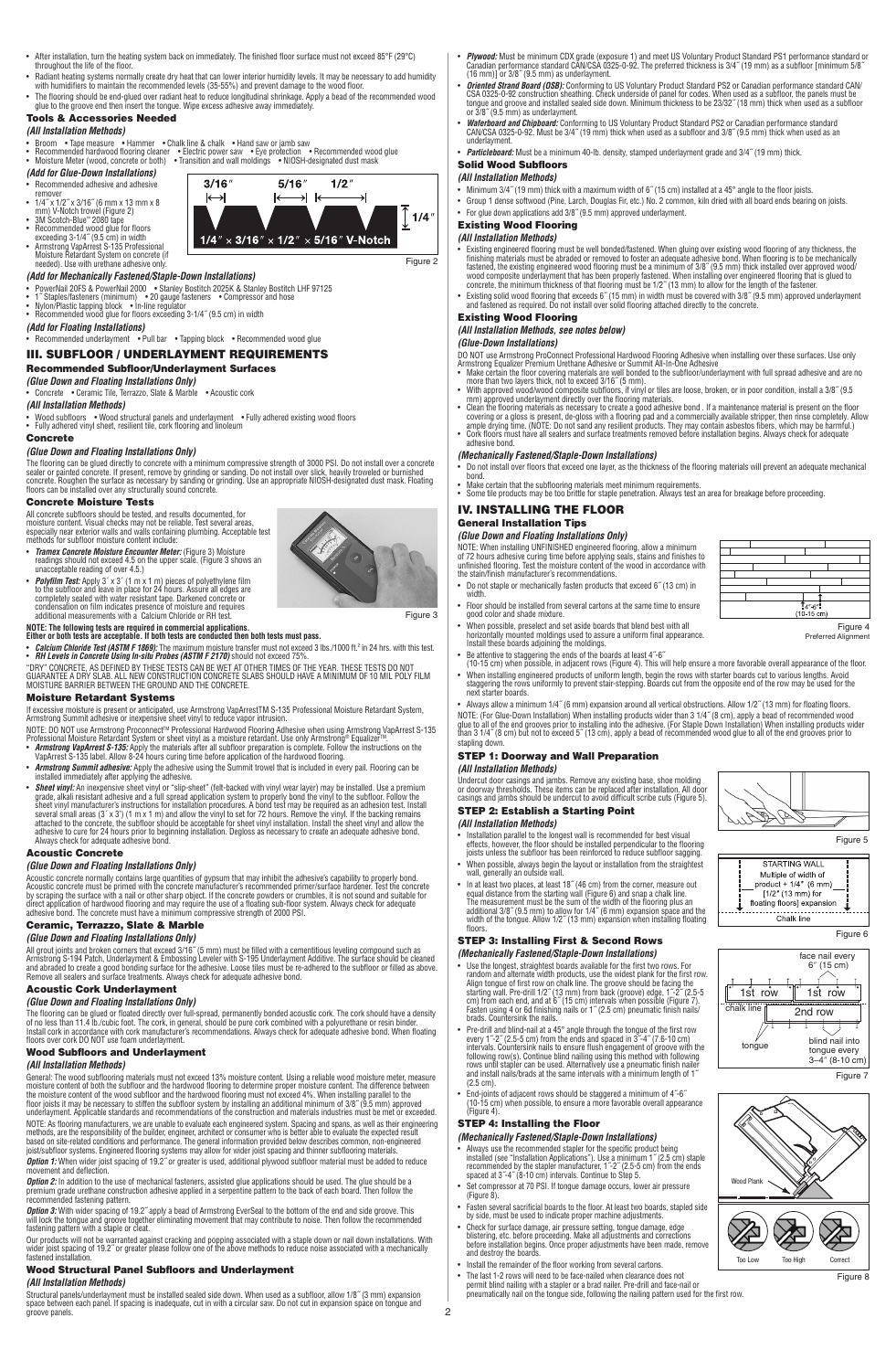- After installation, turn the heating system back on immediately. The finished floor surface must not exceed 85°F (29°C)
- throughout the life of the floor.

 $3/16'$ 

 $\mapsto$ 

 $5/16'$ 

 $1/4$ "  $\times$  3/16"  $\times$  1/2"  $\times$  5/16" V-Notch

 $\rightarrow$  k

 $1/2'$ 

۶I

- Radiant heating systems normally create dry heat that can lower interior humidity levels. It may be necessary to add humidity<br>- The flooring should be end-glued over radiant heat to 35-55%) and prevent damage to the wood
- Tools & Accessories Needed

## *(All Installation Methods)*

- Broom •Tape measure •Hammer •Chalk line & chalk •Hand saw or jamb saw<br>• Recommended hardwood flooring cleaner •Electric power saw •Eye protection •Recommended wood glue<br>• Moisture Meter (wood, concrete or both) •
- 
- *(Add for Glue-Down Installations)* • Recommended adhesive and adhesive
- remover 1/4˝ x 1/2˝ x 3/16˝ (6 mm x 13 mm x 8
- 
- 
- 
- mm) V-Notch trowel (Figure 2)<br>• SM Scotch-Blue" 2080 tape<br>• Recommended wood glue for floors<br>• Recommended wood glue for floors<br>• Armstrong VapArrest S-135 Professional<br>Moisture Retardant System on concrete (if<br>heeded). Us

### *(Add for Mechanically Fastened/Staple-Down Installations)*

- 
- 
- PowerNail 20FS & PowerNail 2000 • Stanley Bostitch 2025K & Stanley Bostitch LHF 97125<br>• 1″ Staples/fasteners (minimum) 20 gauge fasteners • Compressor and hose<br>• Nylon/Plastic tapping block • In-line regulator
- *(Add for Floating Installations)*
- Recommended underlayment Pull bar Tapping block Recommended wood glue

### III. SUBFLOOR / UNDERLAYMENT REQUIREMENTS Recommended Subfloor/Underlayment Surfaces

*(Glue Down and Floating Installations Only)*

### • Concrete • Ceramic Tile, Terrazzo, Slate & Marble • Acoustic cork

### *(All Installation Methods)*

• Wood subfloors • Wood structural panels and underlayment • Fully adhered existing wood floors • Fully adhered vinyl sheet, resilient tile, cork flooring and linoleum

# Concrete

*(Glue Down and Floating Installations Only)*

The flooring can be glued directly to concrete with a minimum compressive strength of 3000 PSI. Do not install over a concrete<br>sealer or painted concrete. If present, remove by grinding or sanding. Do not install over slic

### Concrete Moisture Tests

All concrete subfloors should be tested, and results documented, for<br>moisture content. Visual checks may not be reliable. Test several areas,<br>especially near exterior walls and walls containing plumbing. Acceptable test<br>em

- *Tramex Concrete Moisture Encounter Meter:* (Figure 3) Moisture readings should not exceed 4.5 on the upper scale. (Figure 3 shows an unacceptable reading of over 4.5.)
- **Polyfilm Test:** Apply 3' x 3' (1 m x 1 m) pieces of polyethylene film<br>to the subfloor and leave in place for 24 hours. Assure all edges are<br>completely sealed with water resistant tape. Darkened concrete or<br>condensation

# **NOTE: The following tests are required in commercial applications. Either or both tests are acceptable. If both tests are conducted then both tests must pass.**

- *Calcium Chloride Test (ASTM F 1869):* The maximum moisture transfer must not exceed 3 lbs./1000 ft.? in 24 hrs. with this test.<br>• *RH Levels in Concrete Using In-situ Probes (ASTM F 2170)* should not exceed 75%.<br>"DRY" C
- 

### Moisture Retardant Systems

If excessive moisture is present or anticipated, use Armstrong VapArrestTM S-135 Professional Moisture Retardant System,<br>Armstrong Summit adhesive or inexpensive sheet vinyl to reduce vapor intrusion.

NOTE: DO NOT use Armstrong Proconnect™ Professional Hardwood Flooring Adhesive when using Armstrong VapArrest S-135<br>Professional Moisture Retardant System or sheet vinyl as a moisture retardant. Use only Armstrong® Equali

- 
- *Armstrong Summit adhesive:* Apply the adhesive using the Summit trowel that is included in every pail. Flooring can be installed immediately after applying the adhesive.
- **Steet winy**: An inexpensive sheet vinyl or "slip-sheet" (the backed with vinyl wear layer) may be installed. Use a premium<br>specification system to properly bond the vinyl to the subflood. Follow the<br>sheet vinyl manufac

### Acoustic Concrete

### *(Glue Down and Floating Installations Only)*

Acoustic concrete normally contains large quantities of gypsum that may inhibit the adhesive's capability to properly bond.<br>Acoustic concrete must be primed with the concrete manufacturer's recommended primer/surface harde

# Ceramic, Terrazzo, Slate & Marble

**(Glue Down and Floating Installations Only)**<br>All grout joints and broken corners that exceed 3/16" (5 mm) must be filled with a cementitious leveling compound such as<br>Armstrong S-194 Patch, Underlayment & Embossing Levele

## Acoustic Cork Underlayment

*(Glue Down and Floating Installations Only)*

The flooring can be glued or floated directly over full-spread, permanently bonded acoustic cork. The cork should have a density<br>of no less than 11.4 Ib./cubic foot. The cork, in general, should be pure cork combined with

### Wood Subfloors and Underlayment

### *(All Installation Methods)*

General: The wood subfilooring materials must not exceed 13% moisture content. Using a reliable wood moisture m<br>moisture content of both the subfloor and the hardwood flooring to determine proper moisture content. The diff NOTE: As flooring manufacturers, we are unable to evaluate each engineered system. Spacing and spans, as well as their engineering<br>methods, are the responsibility of the builder, engineer, achitiect or consumer who is bett *Option 1:* When wider joist spacing of 19.2<sup>"</sup> or greater is used, additional plywood subfloor material must be added to reduce nt and deflection.

*Option 2:* In addition to the use of mechanical fasteners, assisted glue applications should be used. The glue should be a<br>premium grade urethane construction adhesive applied in a serpentine pattern to the back of each b

premium grade urethane construction adhesive applied in a serpentine pattern to the back of each board. Then follow the<br>recommended fastening pattern.<br>Option 3: With wider spacing of 19.2″ apply a bead of Armstrong EverSea

Our products will not be warranted against cracking and popping associated with a staple down or nail down installations. With<br>wider joist spacing of 19.2″ or greater please follow one of the above methods to reduce noise

### Wood Structural Panel Subfloors and Underlayment

### *(All Installation Methods)*

Structural panels/underlayment must be installed sealed side down. When used as a subfloor, allow 1/8″ (3 mm) expansion<br>space between each panel. If spacing is inadequate, cut in with a circular saw. Do not cut in expansio groove panels. 2

- Plywood: Must be minimum CDX grade (exposure 1) and meet US Voluntary Product Standard PS1 performance standard or<br>Canadian performance standard CAN/CSA 0325-0-92. The preferred thickness is 3/4″ (19 mm) as a subfloor [m
- *Oriented Strand Board (OSB):* Conforming to US Voluntary Product Standard PS2 or Canadian performance standard CAN/<br>CSA 0325-0-92 construction sheathing. Check underside of panel for codes. When used as a subfloor, the
- *Waferboard and Chipboard:* Conforming to US Voluntary Product Standard PS2 or Canadian performance standard<br>CAN/CSA 0325-0-92. Must be 3/4" (19 mm) thick when used as a subfloor and 3/8" (9.5 mm) thick when used as an<br>u
- *Particleboard:* Must be a minimum 40-lb. density, stamped underlayment grade and 3/4˝ (19 mm) thick. Solid Wood Subfloors

### *(All Installation Methods)*

- 
- Minimum 3/4″ (19 mm) thick with a maximum width of 6″ (15 cm) installed at a 45° angle to the floor joists.<br>• Group 1 dense softwood (Pine, Larch, Douglas Fir, etc.) No. 2 common, kiln dried with all board ends bearing o
- Existing Wood Flooring

### *(All Installation Methods)*

- Existing engineered flooring must be well bonded/fastened. When gluing over existing wood flooring of any thickness, the<br>finishing materials must be abraded or removed to foster an adequate adhesive bond. When flooring
- Existing solid wood flooring that exceeds 6˝ (15 mm) in width must be covered with 3/8˝ (9.5 mm) approved underlayment and fastened as required. Do not install over solid flooring attached directly to the concrete.

### Existing Wood Flooring *(All Installation Methods, see notes below)*

# *(Glue-Down Installations)*

- 
- DO NOT use Armstrong ProConnect Professional Hardwood Flooring Adhesive when installing over these surfaces. Use only<br>Armstrong Equalizer Premium Urethane Adhesive or Summit All-In-One Adhesive when installing over these s
- 
- *(Mechanically Fastened/Staple-Down Installations)*
- Do not install over floors that exceed one layer, as the thickness of the flooring materials will prevent an adequate mechanical

┯ ┱

bond.<br>• Make certain that the subflooring materials meet minimum requirements.<br>• Some tile products may be too brittle for staple penetration. Always test an area for breakage before proceeding.

## IV. INSTALLING THE FLOOR

### General Installation Tips

*(Glue Down and Floating Installations Only)*

Figure 3

Figure 2

 $\sqrt{\frac{1}{2}}$  1/4

NOTE: When installing UNFINISHED engineered flooring, allow a minimum<br>of 72 hours adhesive curing time before applying seals, stains and finishes to<br>unfinished flooring. Test the moisture content of the wood in accordance

- 
- Floor should be installed from several cartons at the same time to ensure
- good color and shade mixture. (10-15 cm)<br>
 When possible, preselect and set aside boards that blend best with all<br>
horizontally mounted moldings used to assure a uniform final appearance. Preferred Alignmen<br>
Install these
- 
- When installing engineered products of uniform length, begin the rows with starter boards cut to various lengths. Avoid<br>staggering the rows uniformly to prevent stair-stepping. Boards cut from the opposite end of the row

Figure 4 Preferred Alignment

 $\mathbf{T}_{4^{\prime\prime}6^{\prime\prime}}$ 

Figure 6

Figure 5

face nail every<br>6<sup>"</sup> (15 cm)

blind nail into tongue every<br>3–4″ (8-10 cm)

 $1$ st row  $\frac{1}{1}$  1st row

**STARTING WALL** Multiple of width of product + 1/4" (6 mm)<br>[1/2" (13 mm) for floating floors] expansion

. . . . . . . . . .<br>Cha**i**k **l**ine

2nd row

Figure 7

• Always allow a minimum 1/4˝ (6 mm) expansion around all vertical obstructions. Allow 1/2˝ (13 mm) for floating floors. NOTE: (For Glue-Down Installation) When installing products wider than 3 1/4″ (8 cm), apply a bead of recommended wood<br>glue to all of the end grooves prior to installing into the adhesive. (For Staple Down Installation) Wh

### stapling dow STEP 1: Doorway and Wall Preparation

### *(All Installation Methods)*

Undercut door casings and jambs. Remove any existing base, shoe molding<br>or doorway thresholds. These items can be replaced after installation. All door<br>casings and jambs should be undercut to avoid difficult scribe cuts (F STEP 2: Establish a Starting Point

## *(All Installation Methods)*

- listallation parallel to the longest wall is recommended for best visual<br>effects, however, the floor should be installed perpendicular to the flooring<br>joists unless the subfloor has been reinforced to reduce subfloor saggi
- When possible, always begin the layout or installation from the straightest wall, generally an outside wall.
- In at least two places, at least 18" (46 cm) from the corner, measure out<br>equal distance from the starting wall (Figure 6) and snap a chalk line.<br>The measurement must be the sum of the width of the flooring plus an<br>addi

### STEP 3: Installing First & Second Rows

- *(Mechanically Fastened/Staple-Down Installations)* • Lest the longest, straightest boards available for the first two rows. For<br>endom and alternate width products, use the widest plank for the first row.<br>Align tongue of first row on chalk line. The groove should be facing
- Pre-drill and blind-nail at a 45° angle through the tongue of the first row<br>every 1"-2" (2.5-5 cm) from the ends and spaced in  $3^{-4}$ " (7.6-10 cm)<br>intervals. Countersink nails to ensure flush engagement of groove with t
- End-joints of adjacent rows should be staggered a minimum of 4˝-6˝ (10-15 cm) when possible, to ensure a more favorable overall appearance (Figure 4).

• Always use the recommended stapler for the specific product being<br>installed (see "Installation Applications"). Use a minimum 1″ (2.5 cm) staple<br>recommended by the stapler manufacturer, 1″-2″ (2.5-5 cm) from the ends<br>spa • Set compressor at 70 PSI. If tongue damage occurs, lower air pressure

• Fasten several sacrificial boards to the floor. At least two boards, stapled side by side, must be used to indicate proper machine adjustments. • Check for surface damage, air pressure setting, tongue damage, edge<br>blistering, etc. before proceeding. Make all adjustments and corrections<br>before installation begins. Once proper adjustments have been made, remove<br>and

• The last 1-2 rows will need to be face-nailed when clearance does not<br>permit blind nailing with a stapler or a brad nailer. Pre-drill and face-nail or<br>pneumatically nail on the tongue side, following the nailing pattern

 $Too$  Loy

冷

Wood Plank

tongue

EC 11 D

III.

chalk line

Figure 8

**ASSESSED** 

 $\mathbb{Z}$ 

• Install the remainder of the floor working from several cartons.

*(Mechanically Fastened/Staple-Down Installations)*

STEP 4: Installing the Floor

(Figure 8).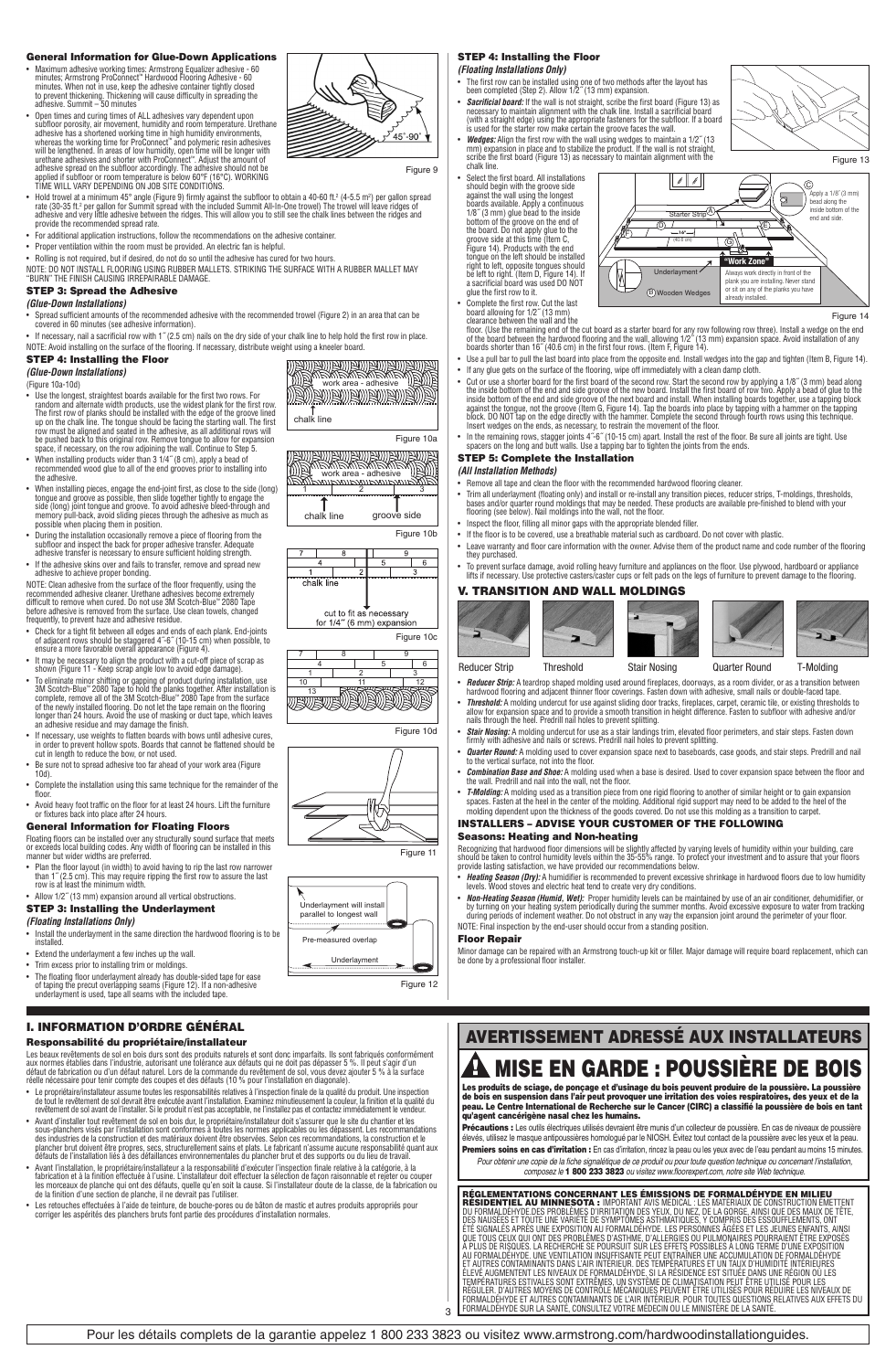### General Information for Glue-Down Applications

• Maximum adhesive working times: Armstrong Equalizer adhesive - 60<br>minutes: Armstrong ProConnect" Hardwood Flooring Adhesive - 60<br>minutes. When not in use, keep the adhesive container tightly closed<br>to prevent thickening.

- Open times and curing times of ALL adhesives vary dependent upon<br>subfloor prorosity, air movement, humidity and room temperature. Urethane<br>adhesive has a shortened working time in high humidity environments,<br>whereas the
- Hold trowel at a minimum 45° angle (Figure 9) firmly against the subfloor to obtain a 40-60 ft.<sup>2</sup> (4-5.5 m<sup>2</sup>) per gallon spread<br>rate (30-35 ft.<sup>2</sup> per gallon for Summit spread with the included Summit All-In-One trowe
- For additional application instructions, follow the recommendations on the adhesive container.
- Proper ventilation within the room must be provided. An electric fan is helpful. • Rolling is not required, but if desired, do not do so until the adhesive has cured for two hours.
- 
- NOTE: DO NOT INSTALL FLOORING USING RUBBER MALLETS. STRIKING THE SURFACE WITH A RUBBER MALLET MAY<br>"BURN" THE FINISH CAUSING IRREPAIRABLE DAMAGE.

### STEP 3: Spread the Adhesive *(Glue-Down Installations)*

- 
- Spread sufficient amounts of the recommended adhesive with the recommended trowel (Figure 2) in an area that can be covered in 60 minutes (see adhesive information).
- If necessary, nail a sacrificial row with 1<sup>™</sup> (2.5 cm) nails on the dry side of your chalk line to help hold the first row in place NOTE: Avoid installing on the surface of the flooring. If necessary, distribute weight using a kneeler boa

chalk line

 $ch$ alk

rmannan<br>chalk line

 $\mathbb{P}(\mathbb{R}^n)$ ewewewewewewe $\mathbb{P}(\mathbb{R}^n)$ 

<u>AN BAN BAN BAN BAN B</u>

work area - adhesive

<u>mismismismismism</u>

1 2 3

1 | 2 | 3 10 11 12 <del>etiana (K.</del>

cut to fit as necessary for 1/4" (6 mm) expansion

nent will ins parallel to longest wall Pre-measured overlap Underlayment

4 5 6 7 8 9

> ₩  $\Rightarrow$

### STEP 4: Installing the Floor

*(Glue-Down Installations)*  (Figure 10a-10d)

- Use the longest, straightest boards available for the first two rows. For<br>andom and alternate width products, use the widest plank for the first row.<br>The first row of planks should be installed with the edge of the groov
- When installing products wider than 3 1/4˝ (8 cm), apply a bead of recommended wood glue to all of the end grooves prior to installing into
- the adhesive.<br>• When installing pieces, engage the end-joint first, as close to the side (long)<br>tongue and groove as possible, then slide together tightly to engage the<br>side (long) joint tongue and groove. To avoid adhesiv
- During the installation occasionally remove a piece of flooring from the subfloor and inspect the back for proper adhesive transfer. Adequate adhesive transfer is necessary to ensure sufficient holding strength.
- If the adhesive skins over and fails to transfer, remove and spread new adhesive to achieve proper bonding.
- adhesive to achieve proper bonding.<br>NOTE: Clean adhesive from the surface of the floor frequently, using the<br>NOTE: Clean adhesive cleaner. Urethane adhesives become extremely<br>difficult to remove when cured. Do not use 3M S
- Check for a tight fit between all edges and ends of each plank. End-joints of adjacent rows should be staggered 4˝-6˝ (10-15 cm) when possible, to ensure a more favorable overall appearance (Figure 4).
- It may be necessary to align the product with a cut-off piece of scrap as shown (Figure 11 Keep scrap angle low to avoid edge damage).
- shown (Figure 11 Keep scrap angle low to avoid edge damage).<br>
 To eliminate minior shifting or gapping of product during installation, use<br>
30 Shotch-Blue" 2080 Tape to hold the planks together. After installation is<br>
c
- 
- Be sure not to spread adhesive too far ahead of your work area (Figure 10d).
- Complete the installation using this same technique for the remainder of the
- floor. Avoid heavy foot traffic on the floor for at least 24 hours. Lift the furniture or fixtures back into place after 24 hours.

# General Information for Floating Floors

Floating floors can be installed over any structurally sound surface that meets or exceeds local building codes. Any width of flooring can be installed in this manner but wider widths are preferred.

• Plan the floor layout (in width) to avoid having to rip the last row narrower<br>than 1" (2.5 cm). This may require ripping the first row to assure the last<br>row is at least the minimum width.<br>• Allow 1/2" (13 mm) expansion

# STEP 3: Installing the Underlayment

# *(Floating Installations Only)*

• Install the underlayment in the same direction the hardwood flooring is to be installed.

- Extend the underlayment a few inches up the wall.
- Trim excess prior to installing trim or moldings.
- The floating floor underlayment already has double-sided tape for ease of taping the precut overlapping seams (Figure 12). If a non-adhesive underlayment is used, tape all seams with the included tape.

### I. INFORMATION D'ORDRE GÉNÉRAL Responsabilité du propriétaire/installateur

pas depasser 5 %. Il peut s'agir d<br>sol. vous devez aiouter 5 % à la su Les beaux revêtements de sol en bois durs sont des produits naturels et sont donc imparfaits. Ils sont fabriqués conformément<br>aux normes établies dans l'industrie, autorisant une tolérance aux défauts qui ne doit pas dépas

- Panneaux de renforcement
- Avant d'installer tout revêtement de sol en bois dur, le propriétaire/installateur doit s'assurer que le site du chantier et les sous-planchers visés par l'installation sont conformes à toutes les normes applicables ou les dépassent. Les recommandations<br>des industries de la construction et des matériaux doivent être observées. Selon ces recommandati
- et des supports ou du lieu de<br>ection finale relative à la caté inatuar abatu ao na unado • Avant l'installation, le propriétaire/installateur a la responsabilité d'exécuter l'inspection finale relative à la catégorie, à la<br>fabrication et à la finition effectuée à l'usine. L'installateur doit effectuer la sélec
- Les retouches effectuées à l'aide de teinture, de bouche-pores ou de bâton de mastic et autres produits appropriés pour<br>corriger les aspérités des planchers bruts font partie des procédures d'installation normales.

### STEP 4: Installing the Floor *(Floating Installations Only)*

• The first row can be installed using one of two methods after the layout has been completed (Step 2). Allow 1/2˝ (13 mm) expansion.

- *Sacrificial board:* If the wall is not straight, scribe the first board (Figure 13) as necessary to maintain alignment with the chalk line. Install a sacrificial board (with a straight edge) using the appropriate fasteners for the subfloor. If a board is used for the starter row make certain the groove faces the wall.
- Wedges: Align the first row with the wall using wedges to maintain a 1/2" (13<br>mm) expansion in place and to stabilize the product. If the wall is not straight,<br>scribe the first board (Figure 13) as necessary to maintain
- chalk line.<br>
Select the first board. All installations<br>
should begin with the groove side<br>
against the wall using the longest<br>
bary as caliable. Apply a continuous<br>
1/8" (3 mm) glue bead to the inside<br>
bottom of the groove right to left, opposite tongues should be left to right. (Item D, Figure 14). If a sacrificial board was used DO NOT glue the first row to it.
- 
- 
- Complete the first row. Cut the last<br>clararce between the wall and the<br>clearance between the wall and the<br>floor. (Use the remaining end of the cut board as a starter board for any row following row three). Install a wedg

Wooden Wedges already installed.

• Use a pull bar to pull the last board into place from the opposite end. Install wedges into the gap and tighten (Item B, Figure 14).<br>• If any glue gets on the surface of the flooring, wipe off immediately with a clean da

**B**) Wood

M

- Cut or use a shorter board for the first board of the second row. Start the second row by applying a 1/8" (3 mm) bead along the inside bottom of the end and side groove of the new board and install the first board in si
- In the remaining rows, stagger joints 4˝-6˝ (10-15 cm) apart. Install the rest of the floor. Be sure all joints are tight. Use spacers on the long and butt walls. Use a tapping bar to tighten the joints from the ends.

- Trim all underlayment (floating only) and install or re-install any transition pieces, reducer strips, T-moldings, thresholds,<br>bases and/or quarter round moldings that may be needed. These products are available pre-fini
- Inspect the floor, filling all minor gaps with the appropriate blended filler.
- If the floor is to be covered, use a breathable material such as cardboard. Do not cover with plastic.
- they purchased.
- ∙ To prevent surface damage, avoid rolling heavy furniture and appliances on the floor. Use plywood, hardboard or appliance<br>Mits if necessary. Use protective casters/caster cups or felt pads on the legs of furniture to pr

## V. TRANSITION AND WALL MOLDINGS

 $\overline{\phantom{0}}$ 

 $\overline{\mathbf{a}}$ 







Figure 14

- Reducer Strip Threshold Stair Nosing Quarter Round T-Molding
- *Reducer Strip:* A teardrop shaped molding used around fireplaces, doorways, as a room divider, or as a transition between<br>hardwood flooring and adjacent thinner floor coverings. Fasten down with adhesive, small nails
- Threshold: A molding undercut for use against sliding door tracks, fireplaces, carpet, ceramic tile, or existing thresholds to<br>allow for expansion space and to provide a smooth transition in height difference. Fasten to
- *Quarter Round:* A molding used to cover expansion space next to baseboards, case goods, and stair steps. Predrill and nail to the vertical surface, not into the floor.
- *Combination Base and Shoe:* A molding used when a base is desired. Used to cover expansion space between the floor and the wall. Predrill and nail into the wall, not the floor.
- *T-Molding:* A molding used as a transition piece from one rigid flooring to another of similar height or to gain expansion<br>spaces. Fasten at the heel in the center of the molding. Additional rigid support may need to be molding dependent upon the thickness of the goods covered. Do not use this molding as a transition to carpet.

### INSTALLERS – ADVISE YOUR CUSTOMER OF THE FOLLOWING Seasons: Heating and Non-heating

Recognizing that hardwood floor dimensions will be slightly affected by varying levels of humidity within your building, care<br>should be taken to control humidity levels within the 35-55% range. To protect your investment a

- 
- *Non-Heating Season (Humid, Wet):* Proper humidity levels can be maintained by use of an air conditioner, dehumidifier, or<br>by turning on your heating system periodically during the summer months. Avoid excessive exposure NOTE: Final inspection by the end-user should occur from a standing position.

### Floor Repair

Minor damage can be repaired with an Armstrong touch-up kit or filler. Major damage will require board replacement, which can be done by a professional floor installer.

# AVERTISSEMENT ADRESSÉ AUX INSTALLATEURS **11 MISE EN GARDE : POUSSIÈRE DE BOIS**

Les produits de sciage, de ponçage et d'usinage du bois peuvent produire de la poussière. La poussière<br>de bois en suspension dans l'air peut provoquer une irritation des voies respiratoires, des yeux et de la<br>peau. Le Cent qu'agent cancérigène nasal chez les humains.

**Précautions :** Les outils électriques utilisés devraient être munis d'un collecteur de poussière. En cas de niveaux de poussière<br>élevés, utilisez le masque antipoussières homologué par le NIOSH. Évitez tout contact de la Premiers soins en cas d'irritation : En cas d'irritation, rincez la peau ou les yeux avec de l'eau pendant au moins 15 minutes.

Pour obtenir une copie de la fiche signalétique de ce produit ou pour toute question technique ou concernant l'installation,<br>composez le **1 800 233 3823** ou visitez www.floorexpert.com, notre site Web technique.

**RÉGLEMENTATIONS CONCERNANT LES BÉNISSIONS DE FORMALDE L'EN ANGILIER DE LA CONSTRUCTION EN ENTRENT DE SUR L'ES<br>L'ÉSTIDENT LE AU MINNESOTA : IMPORTANT AVISIMEDIAL: LES MATÉRIAUX DE CONSTRUCTION ÉMETTENT<br>DU FORMALDEHYDE DES** 





Figure 9

Figure 10a

**TAN** 

顾厉

Figure 10b

 $\overline{6}$ 

Figure 10c

Figure 10d

Figure 11

Figure 12

groove side



or sit on any of the planks you have



- 
- Leave warranty and floor care information with the owner. Advise them of the product name and code number of the flooring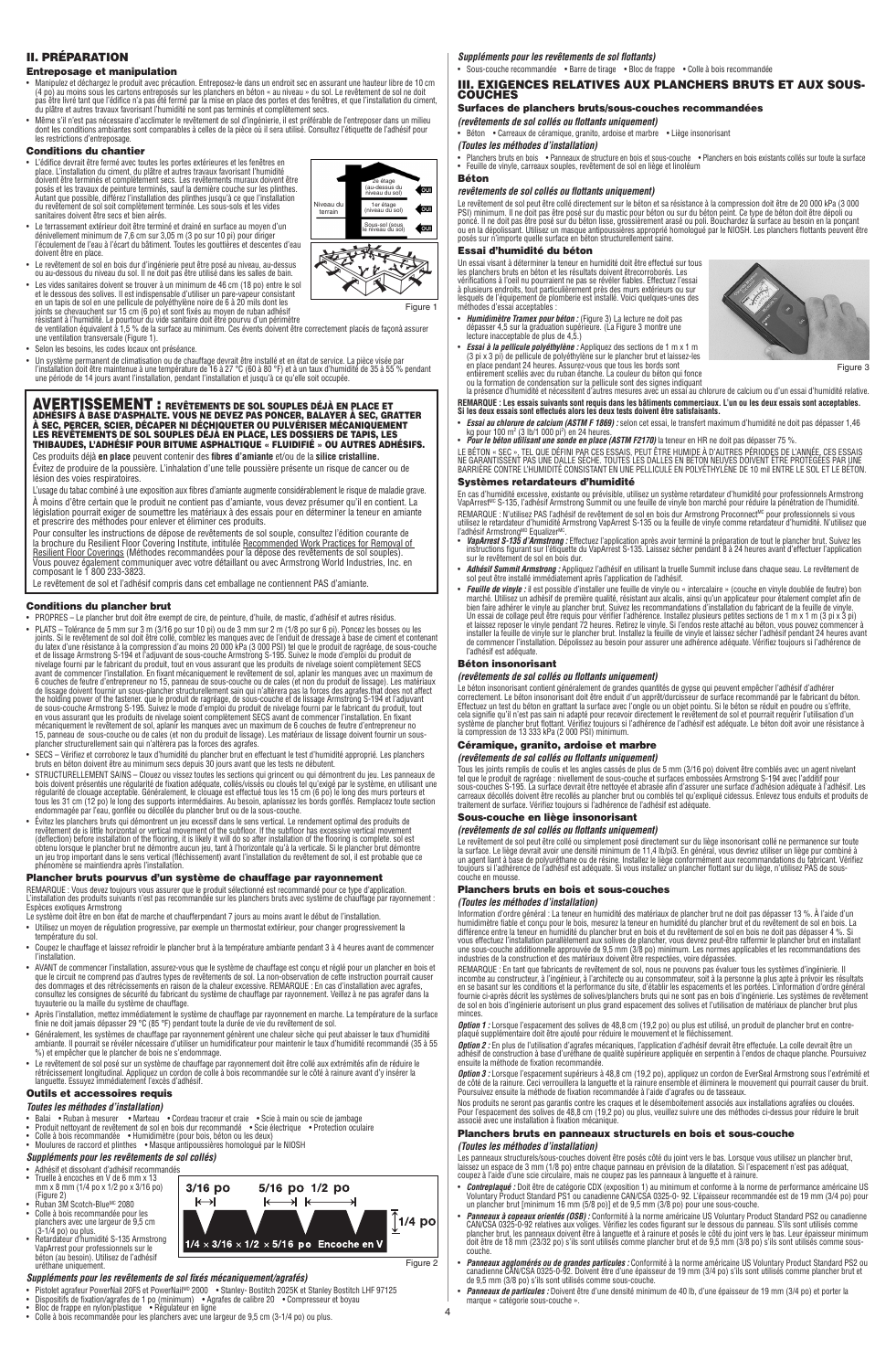### II. PRÉPARATION

### Entreposage et manipulation

- Manipulez et déchargez le produit avec précaution. Entreposez-le dans un endroit sec en assurant une hauteur libre de 10 cm (4 po) au moins sous les cartons entreposés sur les planchers en béton « au niveau » du sol. Le revêtement de sol ne doit<br>pas être livré tant que l'édifice n'a pas été fermé par la mise en place des portes et des fenêtres,
- Même s'il n'est pas nécessaire d'acclimater le revêtement de sol d'ingénierie, il est préférable de l'entreposer dans un milieu<br>dont les conditions ambiantes sont comparables à celles de la pièce où il sera utilisé. Cons

Niveau du terrain

2e étage (au-dessus du niveau du sol) 1er étage (niveau du sol) Sous-sol (sous le niveau du sol)

**CONTRACTOR** 

Figure 1

dout  $\leftarrow$  $\leftarrow$ 

### Conditions du chantier

- L'édifice devrait être fermé avec toutes les portes extérieures et les fenêtres en disposant d'une dispose d'une dispose de la dispose de dispose de la dispose de la dispose de la dispose de la dispose de la dispose de
- Le terrassement extérieur doit être terminé et drainé en surface au moyen d'un dénivellement minimum de 7,6 cm sur 3,05 m (3 po sur 10 pi) pour diriger l'écoulement de l'eau à l'écart du bâtiment. Toutes les gouttières et descentes d'eau
- 
- doivent être en place.<br>
 Le revêtement de sol en bois dur d'ingénierie peut être posé au niveau, au-dessus<br>
 Les vides sanitaires doivent se trouver à un minimum de 46 cm (18 po) entre le sol<br>
 Les vides sanitaires doiv

• Selon les besoins, les codes locaux ont préséance.

• Un système permanent de climatisation ou de chauffage devrait être installé et en état de service. La pièce visée par<br>l'installation doit être maintenue à une température de 16 à 27 °C (60 à 80 °F) et à un taux d'humidit

# **AVERTISSEMENT :** revêtements de sol souples déjà en place et<br>adhésifs à base d'asphalte. Vous ne devez pas poncer, balayer à sec, gratter<br>à sec, percer, scier, décaper ni déchiqueter ou pulvériser mécaniquement<br>les revête

Ces produits déjà **en place** peuvent contenir des **fibres d'amiante** et/ou de la **silice cristalline.** Évitez de produire de la poussière. L'inhalation d'une telle poussière présente un risque de cancer ou de lésion des voies respiratoires.

L'usage du tabac combiné à une exposition aux fibres d'amiante augmente considérablement le risque de maladie grave. A moins d'être certain que le produit ne contient pas d'amiante, vous devez présumer qu'il en contient. La<br>législation pourrait exiger de soumettre les matériaux à des essais pour en déterminer la teneur en amiante<br>et pres

Pour consulter les instructions de dépose de revêtements de sol souple, consultez l'édition courante de<br>la brochure du Resilient Floor Covering Institute, intitulée <u>Recommended Work Practices for Removal of</u><br><u>Resilient Fl</u>

Le revêtement de sol et l'adhésif compris dans cet emballage ne contiennent PAS d'amiante.

- Conditions du plancher brut<br>• PROPRES Le plancher brut doit être exempt de cire, de peinture, d'huile, de mastic, d'adhésif et autres résidus. • PROPRES – Le plancher brut doit être exempt de cire, de peinture, d'huile, de mastic, d'adhésif et autres résidus.<br>• PLATS – Tolérance de 5 mm sur 3 m (3/16 po sur 10 pi) ou de 3 mm sur 2 m (1/8 po sur 6 pi). Poncez les
- 
- bois doivent présentés une régularité de fixation adéquate, collés/vissés ou cloués tel qu'exigé par le système, en utilisant une<br>régularité de clouage acceptable. Généralement, le clouage est effectué tous les 15 cm (6 po
- Evitez les planchers bruts qui démontent un jeu excessif dans le sens vertical. Le rendement optimal des produits de<br>revêtement de is little horizontal or vertical movement of the subfloor. If the subfloor has excessive phénomène se maintiendra après l'installation.

### Plancher bruts pourvus d'un système de chauffage par rayonnement

REMARQUE : Vous devez toujours vous assurer que le produit sélectionné est recommandé pour ce type d'application.<br>L'installation des produits suivants n'est pas recommandée sur les planchers bruts avec système de chauffage

- Utilisez un moyen de régulation progressive, par exemple un thermostat extérieur, pour changer progressivement la température du sol.
- Coupez le chauffage et laissez refroidir le plancher brut à la température ambiante pendant 3 à 4 heures avant de commencer
- l'installation.<br>• AVANT de commencer l'installation, assurez-vous que le système de chauffage est conçu et réglé pour un plancher en bois et<br>• AVANT de commencer l'installation, assurez-vous que le système de sol. La non-o
- Après l'installation, mettez immédiatement le système de chauffage par rayonnement en marche. La température de la surface finie ne doit jamais dépasser 29 °C (85 °F) pendant toute la durée de vie du revêtement de sol.
- Généralement, les systèmes de chauffage par rayonnement génèrent une chaleur sèche qui peut abaisser le taux d'humidité<br>ambiante. Il pourrait se révéler nécessaire d'utiliser un humidificateur pour maintenir le taux d'hu
- Le revêtement de sol posé sur un système de chauffage par rayonnement doit être collé aux extrémités afin de réduire le<br>rétrécissement longitudinal. Appliquez un cordon de colle à bois recommandée sur le côté à rainure a

## **Outils et accessoires requis**

- *Toutes les méthodes d'installation)*
- 
- Balai Ruban à mesurer Marteau Cordeau traceur et craie Scie à main ou scie de jambage<br>• Produit nettoyant de revêtement de sol en bois dur recommandé Scie électrique •Protection oculaire<br>• Colle à bois recomman

## *Suppléments pour les revêtements de sol collés)*

- Adhésif et dissolvant d'adhésif recommandés Truelle à encoches en V de 6 mm x 13 mm x 8 mm (1/4 po x 1/2 po x 3/16 po)
- (Figure 2) Ruban 3M Scotch-BlueMC 2080
- Colle à bois recommandée pour les planchers avec une largeur de 9,5 cm (3-1/4 po) ou plus. Retardateur d'humidité S-135 Armstrong VapArrest pour professionnels sur le béton (au besoin). Utilisez de l'adhésif uréthane uniquement.

### *Suppléments pour les revêtements de sol fixés mécaniquement/agrafés)*

3/16 po

 $\mapsto$ 

5/16 po 1/2 po

 $\rightarrow$ 

.<br>→I k

 $\leftarrow$ 

 $1/4 \times 3/16 \times 1/2 \times 5/16$  po Encoche en V

- Pistolet agrafeur PowerNail 20FS et PowerNail<sup>we</sup> 2000 • Stanley- Bostitch 2025K et Stanley Bostitch LHF 97125<br>• Dispositifs de fixation/agrafes de 1 po (minimum) • Agrafes de calibre 20 • Compresseur et boyau<br>• Bl
- 

*Suppléments pour les revêtements de sol flottants)*

• Sous-couche recommandée • Barre de tirage • Bloc de frappe • Colle à bois recommandée

### III. EXIGENCES RELATIVES AUX PLANCHERS BRUTS ET AUX SOUS-**COUCHES** Surfaces de planchers bruts/sous-couches recommandées

*(revêtements de sol collés ou flottants uniquement)*

# • Carreaux de céramique, granito, ardoise et marbre • Liège insonorisant

*(Toutes les méthodes d'installation)* • Planchers bruts en bois • Panneaux de structure en bois et sous-couche • Planchers en bois existants collés sur toute la surface • Feuille de vinyle, carreaux souples, revêtement de sol en liège et linoléum

Béton

### *revêtements de sol collés ou flottants uniquement)*

Le revêtement de sol peut être collé directement sur le béton et sa résistance à la compression doit être de 20 000 kPa (3 000<br>PSI) minimum. Il ne doit pas être posé sur du mastic pour béton ou sur du béton peint. Ce type

### Essai d'humidité du béton

Un essai visant à déterminer la teneur en humidité doit être effectué sur tous<br>les planchers bruts en béton et les résultats doivent êtrecorroborés. Les<br>vérifications à l'oeil nu pourraient ne pas se révéler fiables. Effec

- *Humidimètre Tramex pour béton :* (Figure 3) La lecture ne doit pas dépasser 4,5 sur la graduation supérieure. (La Figure 3 montre une lecture inacceptable de plus de 4,5.)
- **Essai à la pellicule polyéthylène :** Appliquez des sections de 1 m x 1 m<br>
(3 pi x 3 pi) de pellicule de polyéthylène sur le plancher brut et laisesz-les<br>
en place pendant 24 heures. Assurez-vous que tous les bords sont<br>
- 

**REMARQUE : Les essais suivants sont requis dans les bâtiments commerciaux. L'un ou les deux essais sont acceptables. Si les deux essais sont effectués alors les deux tests doivent être satisfaisants.**

Figure 3

- *Essai au chlorure de calcium (ASTM F 1869) :* selon cet essai, le transfert maximum d'humidité ne doit pas dépasser 1,46<br>· kg pour 100 m² (3 Ib/1 000 piª) en 24 heures.<br>• *Pour le béton utilisant une sonde en place (AST*
- LE BETON « SEC », TEL QUE DEFINI PAR CES ESSAIS, PEUT ETRE HUMIDE A D'AUTRES PERIODES DE L'ANNEE, CES ESSAIS<br>NE GARANTISSENT PAS UNE DALLE SECHE. TOUTES LES DALLES EN BÉTON NEUVES DOIVENT ÉTRE PROTÉGÉES PAR JUEE<br>BARRIÈRE C

Systèmes retardateurs d'humidité

En cas d'humidité excessive, existante ou prévisible, utilisez un système retardateur d'humidité pour professionnels Armstrong<br>VapArrest™ S-135, l'adhésif Armstrong Summit ou une feuille de vinyle bon marché pour réduire

- REMARQUE : N'utilisez PAS l'adhésif de revêtement de sol en bois dur Armstrong Proconnect<sup>us</sup> pour professionnels si vous<br>utilisez le retardateur d'humidité Armstrong VapArrest S-135 ou la feuille de vinyle comme retardate
- *Adhésif Summit Armstrong :* Appliquez l'adhésif en utilisant la truelle Summit incluse dans chaque seau. Le revêtement de sol peut être installé immédiatement après l'application de l'adhésif.
- Fauille de viny<br>de 18 vinyle : il est possible d'installar une feuille de vinyle ou « intercalaire » (couche en vinyle doublée de feutre) bon<br>parché. Utilisez un adhésif de première qualité, résistant aux alcalis, ainsi q ue commonour rince.<br>l'adhésif est adéquate

*(revêtements de sol collés ou flottants uniquement)*

Le béton insonorisant contient généralement de grandes quantités de gypse qui peuvent empêcher l'adhésif d'adhérer<br>correctement. Le béton insonorisant doit être enduit d'un apprêt/durcisseur de surface recommandé par le fa

# Céramique, granito, ardoise et marbre

*(revêtements de sol collés ou flottants uniquement)*

Tous les joints remplis de coulis et les angles cassés de plus de 5 mm (3/16 po) doivent être comblés avec un agent nivelant<br>tel que le produit de ragréage : nivellement de sous-couche et surfaces embossées Armstrong S-194

*(revêtements de sol collés ou flottants uniquement)*<br>Le revêtement de sol peut être colé ou simplement posé directement sur du liège insonorisant collé ne permanence sur toute<br>la surface. Le liège devrait avoir une densit

## Planchers bruts en bois et sous-couches

(Toutes les méthodes d'installation)<br>Information d'ordre général : La teneur en humidité des matériaux de plancher brut ne doit pas dépasser 13 %. À l'aide d'un<br>Information d'ordre général : La teneur en humidité dus planc

*Option 1 :* Lorsque l'espacement des solives de 48,8 cm (19,2 po) ou plus est utilisé, un produit de plancher brut en contre-<br>plaqué supplémentaire doit être ajouté pour réduire le mouvement et le fléchissement.

**Option 2 :** En plus de l'utilisation d'agrafes mécaniques, l'application d'adhésif devrait être effectuée. La colle devrait être un<br>adhésif de construction à base d'uréthane de qualité supérieure appliquée en serpentin à

Nos produits ne seront pas garantis contre les craques et le désemboitement associés aux installations agrafées ou clouées.<br>Pour l'espacement des solives de 48,8 cm (19,2 po) ou plus, veuillez suivre une des méthodes ci-de

### Planchers bruts en panneaux structurels en bois et sous-couche

### *(Toutes les méthodes d'installation)*

4

Figure 2

 $\int$ 1/4 po

Les panneaux structurels/sous-couches doivent être posés côté du joint vers le bas. Lorsque vous utilisez un plancher brut,<br>laissez un espace de 3 mm (1/8 po) entre chaque panneau en prévision de la dilatation. Si l'espace

- 
- **Contreplage** : Doit être de catégorie CDX (exposition 1) au minimum et conforme à la norme de performance américaine US<br>Voluntary Product Standard PS1 ou canadienne CAN/CSA 0325-0-92. L'épaiseur recommandée est de 19 m
- *Panneaux agglomérés ou de grandes particules :* Conformité à la norme américaine US Voluntary Product Standard PS2 ou<br>canadienne CAN/CSA 0325-0-92. Doivent être d'une épaisseur de 19 mm (3/4 po) s'ils sont utilisés comm
- *Panneaux de particules :* Doivent être d'une densité minimum de 40 lb, d'une épaisseur de 19 mm (3/4 po) et porter la marque « catégorie sous-couche ».

Sous-couche en liège insonorisant

### Béton insonorisant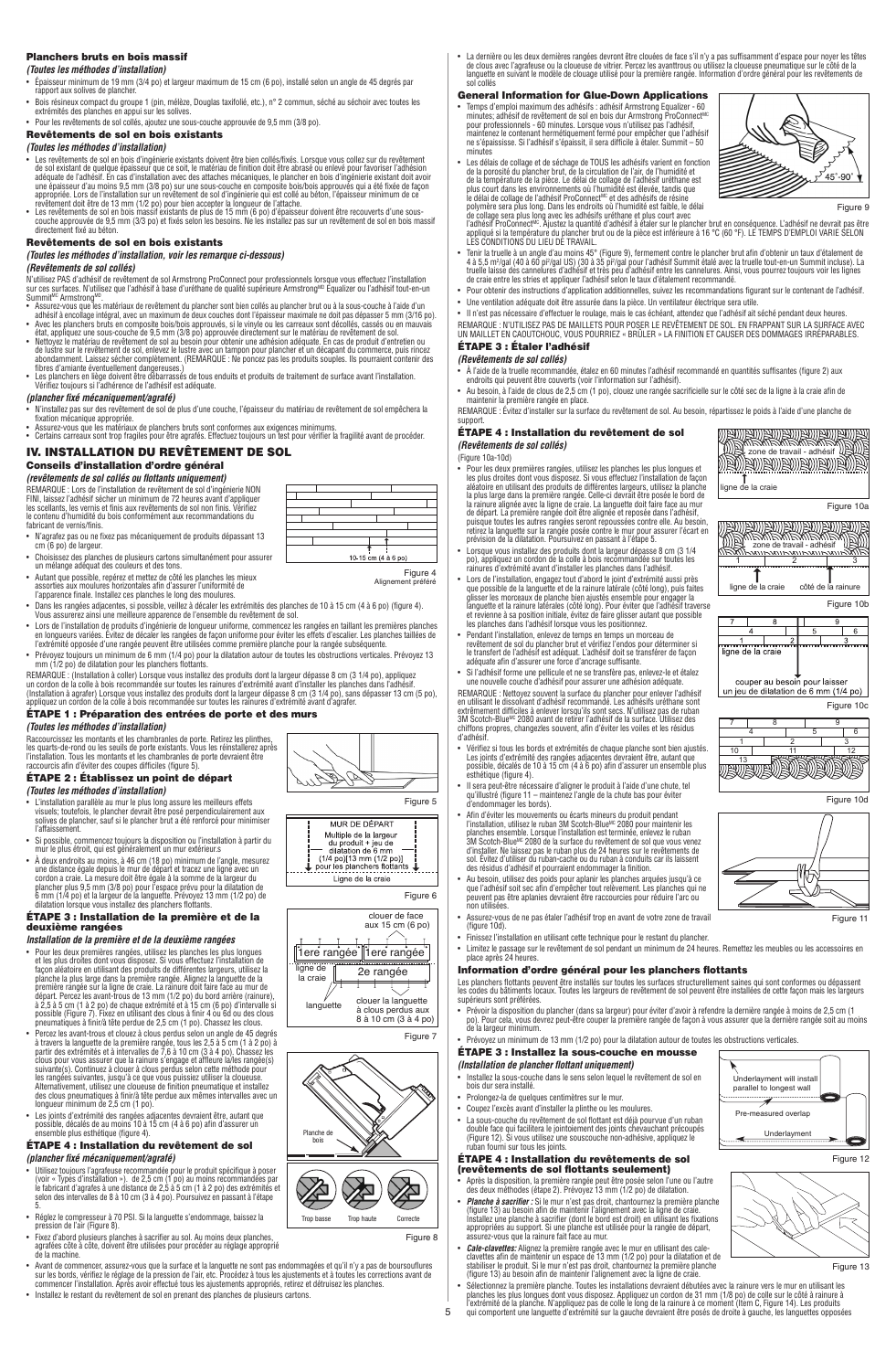### Planchers bruts en bois massif

### *(Toutes les méthodes d'installation)*

- Épaisseur minimum de 19 mm (3/4 po) et largeur maximum de 15 cm (6 po), installé selon un angle de 45 degrés par rapport aux solives de plancher.
- Bois résineux compact du groupe 1 (pin, mélèze, Douglas taxifolié, etc.), n° 2 commun, séché au séchoir avec toutes les extrémités des planches en appui sur les solives. • Pour les revêtements de sol collés, ajoutez une sous-couche approuvée de 9,5 mm (3/8 po).
- 

# Revêtements de sol en bois existants<br>(Toutes les méthodes d'installation)

- (Toutes les méthodes d'installation)<br>
le les revêtements de sol en bois d'installation)<br>
le sol existent de quelque épaisseur que ce soit, le matériau de finition doit être abrasé ou enlevé pour favoriser l'adhésion<br>
de so
- 

### Revêtements de sol en bois existants

*(Toutes les méthodes d'installation, voir les remarque ci-dessous)*

### *(Revêtements de sol collés)*

- N'utilisez PAS d'adhésif de revêtement de sol Armstrong ProConnect pour professionnels lorsque vous effectuez l'installation<br>sur ces surfaces. N'utilisez que l'adhésif à base d'uréthane de qualité supérieure Armstrong<sup>Mo</sup>
- 
- 
- Summit<sup>hies</sup> Armstrong<sup>um</sup>.<br>
A Armstrong<sup>um</sup>, and the simulation of detainment du plancher sont bien collés au plancher brut ou à la sous-couche à l'aide d'un<br>
Adsurez-vous que les matériaux de revêtement du plancher sont
- 

### *(plancher fixé mécaniquement/agrafé)*

- N'installez pas sur des revêtement de sol de plus d'une couche, l'épaisseur du matériau de revêtement de sol empêchera la<br>• fxation mécanique appropriée.<br>• Assurez-vous que les matériaux de planchers bruts sont confo
- IV. INSTALLATION DU REVÊTEMENT DE SOL

 $\top$ 

# Conseils d'installation d'ordre général

## *(revêtements de sol collés ou flottants uniquement)*

REMARQUE : Lors de l'installation de revêtement de sol d'ingénierie NON<br>FINI, laissez l'adhésif sécher un minimum de 72 heures avant d'appliquer<br>les scellants, les vernis et finis aux revêtements de sol non finis. Vérifiez

- N'agrafez pas ou ne fixez pas mécaniquement de produits dépassant 13  $(6 \text{ po})$  de largeur.
- 
- Choisissez des planches de plusieurs catons simultanément pour assurer<br>un mélange adéquat des couleurs et des tons.<br>Autant que possible, repérez et mettez de côté les planches les mieux<br>assorties aux moulures horizontlal
- 
- Dans les rangées adjacentes, si possible, veillez à décaler les extrémités des planches de 10 à 15 cm (4 à 6 po) (figure 4).<br>Vous assurerez ainsi une meilleure apparence de l'ensemble du revêtement de sol.<br>• Lors de l'in
- Prévoyez toujours un minimum de 6 mm (1/4 po) pour la dilatation autour de toutes les obstructions verticales. Prévoyez 13 mm (1/2 po) de dilatation pour les planchers flottants.

REMARQUE : (Installation à coller) Lorsque vous installez des produits dont la largeur dépasse 8 cm (3 1/4 po), appliquez<br>un cordon de la colle à bois recommandée sur toutes les rainures d'extrémité avant d'installer les p

### ÉTAPE 1 : Préparation des entrées de porte et des murs *(Toutes les méthodes d'installation)*

Raccourcissez les montants et les chambranles de porte. Retirez les plinthes, les quarts-de-rond ou les seuils de porte existants. Vous les réinstallerez après l'installation. Tous les montants et les chambranles de porte devraient être raccourcis afin d'éviter des coupes difficiles (figure 5).

### ÉTAPE 2 : Établissez un point de départ *(Toutes les méthodes d'installation)*

- L'installation parallèle au mur le plus long assure les meilleurs effets<br> visuels; toutefois, le plancher devrait être posé perpendiculairement aux<br> solives de plancher, sauf si le plancher brut a été renforcé pour
- 
- l'affaissement.<br>
Si possible, commencez toujours la disposition ou l'installation à partir du<br>
si possible, commencez toujours la disposition ou l'installation à partir du<br>
en l'islame égale depuis le mur de départ et trac

### ÉTAPE 3 : Installation de la première et de la deuxième rangées

- *Installation de la première et de la deuxième rangées*
- 
- Pour les deux premières rangées, utilisez les planches les plus longues<br>et des plus droites dont vous disposez. Si vous effectuez l'installation de<br>taçon aléatoire en utilisant des produits de différentes largeurs, util
- possible, décalés de au moins 10 à 15 cm (4 à 6 po) afin d'assurer un ensemble plus esthétique (figure 4).

# ÉTAPE 4 : Installation du revêtement de sol

- *(plancher fixé mécaniquement/agrafé)* • Utilisez toujours l'agrafeuse recommandée pour le produit spécifique à poser<br>(voir « Types d'installation »). de 2,5 cm (1 po) au moins recommandées par<br>le fabricant d'agrafes à une distance de 2,5 à 5 cm (1 à 2 po) des
- Réglez le compresseur à 70 PSI. Si la languette s'endommage, baissez la
- pression de l'air (Figure 8). Fixez d'abord plusieurs planches à sacrifier au sol. Au moins deux planches, agrafées côte à côte, doivent être utilisées pour procéder au réglage approprié de la machine.
- Avant de commencer, assurez-vous que la surface et la languette ne sont pas endommagées et qu'il n'y a pas de boursouflures<br>sur les bords, vérifiez le réglage de la pression de l'air, etc. Procédez à tous les ajustements
- Installez le restant du revêtement de sol en prenant des planches de plusieurs cartons.

• La dernière ou les deux dernières rangées devront être clouées de face s'il n'y a pas suffisamment d'espace pour noyer les têtes<br>de clous avec l'agrafeuse ou la cloueuse de vitrier. Percez les avanttrous ou utilisez la c

### General Information for Glue-Down Applications

- Temps d'emploi maximum des adhésits : adhésit Armstrong Equalizer 60<br>minutes; adhésit de revêtement de sol en bois dur Armstrong ProConnect<sup>um</sup><br>pour professionnels 60 minutes. Lorsque vous n'utilisez pas l'adhésit,<br>m minutes
- Les délais de collage et de séchage de TOUS les adhésifs varient en fonction<br>de la porosité du plancher brut, de la circulation de l'air, de l'humidité et<br>la température de la pièce. Le délai de collage de l'adhésif uré



Figure 9

Figure 10a

**TAN** 

筋筋

Figure 10b

6

côté de la rainure

- de collage sera plus long avec les adhésifs uréthane et plus court avec<br>l'adhésif ProConnect<sup>uc</sup>. Ajustez la quantité d'adhésif à étaler sur le plancher brut en conséquence. L'adhésif ne devrait pas être<br>appliqué si la tem
- Tenir la truelle à un angle d'au moins 45° (Figure 9), fermement contre le plancher brut afin d'obtenir un taux d'étalement de<br>4 à 5,5 mº/gal (40 à 60 pï/gal US) (30 à 35 pïº/gal pour l'adhésif Summit étalé avec la truel
- Pour obtenir des instructions d'application additionnelles, suivez les recommandations figurant sur le contenant de l'adhésif. • Une ventilation adéquate doit être assurée dans la pièce. Un ventilateur électrique sera utile.

• Il n'est pas nécessaire d'effectuer le roulage, mais le cas échéant, attendez que l'adhésif ait séché pendant deux heures.<br>REMARQUE : N'UTILISEZ PAS DE MAILLETS POUR POSER LE REVÊTEMENT DE SOL. EN FRAPPANT SUR LA SURFACE

# ÉTAPE 3 : Étaler l'adhésif

### *(Revêtements de sol collés)*

- À l'aide de la truelle recommandée, étalez en 60 minutes l'adhésif recommandé en quantités suffisantes (figure 2) aux endroits qui peuvent être couverts (voir l'information sur l'adhésif).
- Au besoin, à l'aide de clous de 2,5 cm (1 po), clouez une rangée sacrificielle sur le côté sec de la ligne à la craie afin de maintenir la première rangée en place.

REMARQUE : Évitez d'installer sur la surface du revêtement de sol. Au besoin, répartissez le poids à l'aide d'une planche de support.

### ÉTAPE 4 : Installation du revêtement de sol *(Revêtements de sol collés)*

(Figure 10a-10d)

Figure 4 Alignement préféré

Figure 5

Figure 6

- Pour les deux premières rangées, utilisez les planches les plus longues et les plus dordres dont vous disposez. Si vous effectuez l'instalation de façon aléatoire en utilisant des produits de différentes largeurs, utilis
- Lorsque vous installez des produits dont la largeur dépasse 8 cm (3 1/4 po), appliquez un cordon de la colle à bois recommandée sur toutes les rainures d'extrémité avant d'installer les planches dans l'adhésif.
- Lors de l'installation, engagez tout d'abord le joint d'extrémité aussi près<br>que possible de la languette et de la rainure latérale (côté long), puis faites<br>glisser les morceaux de planche bien ajustés ensemble pour enga
- Pendant l'installation, enlevez de temps en temps un morceau de<br>revêtement de sol du plancher brut et vérifiez l'endos pour déterminer si<br>le transfert de l'adhésif est adéquat. L'adhésif doit se transférer de façon<br>adéqu
- Si l'adhésif forme une pellicule et ne se transfère pas, enlevez-le et étalez une nouvelle couche d'adhésif pour assurer une adhésion adéquate.

REMARQUE : Nettoyez souvent la surface du plancher pour enlever l'adhésif en utilisant le dissolvant d'adhésif recommandé. Les adhésifs uréthane sont extrêmement difficiles à enlever lorsqu'ils sont secs. N'utilisez pas de ruban<br>3M Scotch-Blue<sup>we</sup> 2080 avant de retirer l'adhésif de la surface. Utilisez des<br>chiffons propres, changezles souvent, afin d'éviter les voiles e d'adhésif.

- Vérifiez si tous les bords et extrémités de chaque planche sont bien ajustés. Les joints d'extrémité des rangées adjacentes devraient être, autant que possible, décalés de 10 à 15 cm (4 à 6 po) afin d'assurer un ensemble plus esthétique (figure 4).
- Il sera peut-être nécessaire d'aligner le produit à l'aide d'une chute, tel qu'illustré (figure 11 maintenez l'angle de la chute bas pour éviter d'endommager les bords).
- Afin d'évite les mouvements ou écarts mineurs du produit pendant<br>c'historialisme, utilisez le ruban 3M Scotch-Blue<sup>ng</sup> 2080 pour maintenir les<br>planches ensemble. Lorsque l'installation est terminée, enlevez le ruban<br>3M S
- Au besoin, utilisez des poids pour aplanir les planches arquées jusqu'à ce<br>que l'adhésif soit sec afin d'empêcher tout relèvement. Les planches qui ne<br>peuvent pas être aplanies devraient être raccourcies pour réduire l'
- non utilisées. Assurez-vous de ne pas étaler l'adhésif trop en avant de votre zone de travail (figure 10d).
- Finissez l'installation en utilisant cette technique pour le restant du plancher.
- Limitez le passage sur le revêtement de sol pendant un minimum de 24 heures. Remettez les meubles ou les accessoires en place après 24 heures.

# **Information d'ordre général pour les planchers flottants<br>Les planchers flottants peuvent être installés sur toutes les surfaces structurellement saines qui sont conformes ou dépassent<br>les codes du bâtiments locaux. Toutes**

- Prévoir la disposition du plancher (dans sa largeur) pour éviter d'avoir à refendre la dernière rangée à moins de 2,5 cm (1<br>po). Pour cela, vous devrez peut-être couper la première rangée de façon à vous assurer que la d
- 

# *(Installation de plancher flottant uniquement)*

• Installez la sous-couche dans le sens selon lequel le revêtement de sol en bois dur sera installé.

5

Figure 8

**RAD** 

Figure 7

clouer de face aux 15 cm (6 po)

clouer la languette à clous perdus aux 8 à 10 cm (3 à 4 po)

2e rangée

ll'1ere rangée ll'1ere rangée

MUR DE DÉPART MUR DE DÉPART<br>
Multiple de la largeur<br>
du produit + jeu de<br>
dilatation de 6 mm<br>
(1/4 po)[13 mm (1/2 po)]<br>
pour les planchers flottants

Ligne de la craie

Trop basse Trop haute Correcte

**AND** 

languette

ES, Q

Planche de bois

P

ligne de la craie

- Prolongez-la de quelques centimètres sur le mur.
- 
- Coupez l'excès avant d'installer la plinthe ou les moulures.<br>• La sous-couche du revêtement de sol flottant est déjà pourvue d'un ruban<br>double face qui facilitera le jointoiement des joints chevauchant précoupés<br>(Figure

### ÉTAPE 4 : Installation du revêtements de sol (revêtements de sol flottants seulement)

- Après la disposition, la première rangée peut être posée selon l'une ou l'autre<br>des deux méthodes (étape 2). Prévoyez 13 mm (1/2 po) de dilatation.
- 
- $\vert \diagdown \hspace{2mm} \diagdown \hspace{2mm} \prec$



couper au besoin pour laisser un jeu de dilatation de 6 mm (1/4 po) Figure 10c 7 8 9 4 5 6 1 2 3

ligne de la craie

met

ligne de la craie

<del>mmmmmmlmmn</del><br>ligne de la craie

 $\mathbb{R}$ zone de travail  $\mathbb{R}$ 

<u> Bangarang Kebasaran Bangara</u>

zone de travail - adhésif

<u>SMBON BON BON BO</u>

1 2 3







Underlayment will install parallel to longest wall Pre-measured overlap Underlayment

 $\vert \leq \rangle$  di ren

Panneaux de renforcement



Figure 12

Figure 13

• Prévoyez un minimum de 13 mm (1/2 po) pour la dilatation autour de toutes les obstructions verticales.

# ÉTAPE 3 : Installez la sous-couche en mousse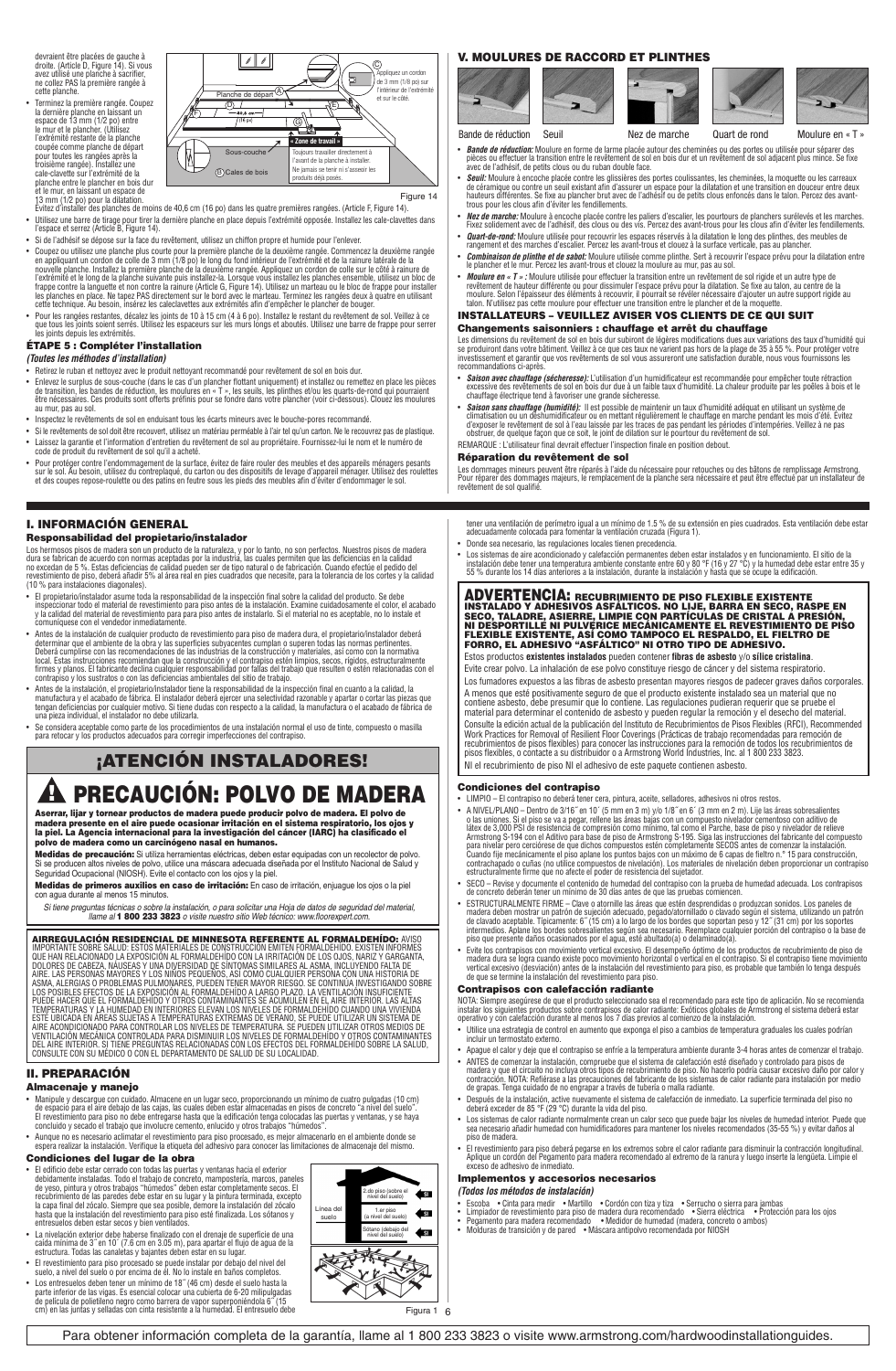devraient être placées de gauche à droite. (Article D, Figure 14). Si vous avez utilisé une planche à sacrifier, ne collez PAS la première rangée à cette planche.

• Terminez la première rangée. Coupez la dernière planche en laissant un espace de 13 mm (1/2 po) entre le mur et le plancher. (Utilisez



- 
- 
- Si de l'adhésif se dépose sur la face du revêtement, utilisez un chiffon propre et humide pour l'enlever.<br>• Coupez ou utilisez une planche plus courte pour la première planche de la deuxième rangée commencez la deuxième
- 

## ÉTAPE 5 : Compléter l'installation

*(Toutes les méthodes d'installation)*

- Retirez le ruban et nettoyez avec le produit nettoyant recommandé pour revêtement de sol en bois dur.
- Enlevez le surplus de sous-couche (dans le cas d'un plancher flottant uniquement) et installez ou remettez en place les pièces<br>de transition, les bandes de réduction, les moulures en « T », les seuils, les plinthes et/o au mur, pas au sol.
- Inspectez le revêtements de sol en enduisant tous les écarts mineurs avec le bouche-pores recommandé.
- Si le revêtements de sol doit être recouvert, utilisez un matériau perméable à l'air tel qu'un carton. Ne le recouvrez pas de plastique.
- Laisez la garantie et l'information d'entretien du revêtement de sol au propriétaire. Fournissez-lui le nom et le numéro de<br>Code de produit du revêtement de sol qu'il a acheté.<br>- Pour protéger contre l'endommagement de l
- 

### I. INFORMACIÓN GENERAL

### Responsabilidad del propietario/instalador

Los hermosos pisos de madera son un producto de la naturaleza, y por lo tanto, no son perfectos. Nuestros pisos de madera<br>dura se fabrican de acuerdo con normas aceptadas por la industria, las cuales permiten que las defic

- El propietario/instalador asume toda la responsabilidad de la inspección final sobre la calidad del producto. Se debe inspeccionar todo el material de revestimiento para piso antes de la instalación. Examine cuidadosamente el color, el acabado<br>y la calidad del material de revestimiento para para piso antes de instalarlo. Si el material no
- Antes de la instalación de cualquier producto de revestimiento para piso de madera dura, el propietario/instalador deberá<br>determinar que el ambiente de la obra y las superficies subyacentes cumplan o superen todas las no
- Antes de la instalación, el propietario/instalador tiene la responsabilidad de la inspección final en cuanto a la calidad, la<br>manufactura y el acabado de fábrica. El instalador deberá ejercer una selectividad razonable y
- Se considera aceptable como parte de los procedimientos de una instalación normal el uso de tinte, compuesto o masilla para retocar y los productos adecuados para corregir imperfecciones del contrapiso.

# ¡ATENCIÓN INSTALADORES!

# **A PRECAUCIÓN: POLVO DE MADERA**

Aserrar, lijar y tornear productos de madera puede producir polvo de madera. El polvo de<br>madera presente en el aire puede ocasionar irritación en el sistema respiratorio, los ojos y<br>la piel. La Agencia internacional para l

**Medidas de precaución:** Si utiliza herramientas eléctricas, deben estar equipadas con un recolector de polvo.<br>Si se producen altos niveles de polvo, utilice una máscara adecuada diseñada por el Instituto Nacional de Salud

Medidas de primeros auxilios en caso de irritación: En caso de irritación, enjuague los ojos o la piel con agua durante al menos 15 minutos.

*Si tiene preguntas técnicas o sobre la instalación, o para solicitar una Hoja de datos de seguridad del material, llame al* 1 800 233 3823 *o visite nuestro sitio Web técnico: www.floorexpert.com.*

**AIRREGULACION RESIDENCIAL DE MINNESSOTA REFERENCIA DE L'ORIGION DE LA FORMALDERIDO: AVISO<br>AIRREGULACION RESIDENCIAL DE NONTRALES DE CONSTRUCCIÓN EMITEN FORMALDERIDO. EXISTEN INFORMES<br>QUE HAN RELACIONADO LA EXPOSICIÓN AL F** 

### II. PREPARACIÓN

### Almacenaje y manejo

- Manipule y descargue con cuidado. Almacene en un lugar seco, proporcionando un mínimo de cuatro pulgadas (10 cm)<br>de espacio para el aire debajo de las cajas, las cuales deben estar almacenadas en pisos de concreto "a niv
- + Aunque no es necesario aclimatar el revestimiento para piso procesado, es mejor almacenarlo en el ambiente donde se<br>espera realizar la instalación. Verifique la etiqueta del adhesivo para conocer las limitaciones de alma

- **Condiciones del lugar de la obra**<br>
 Eledificio debe estar cerrado con todas las puerdas y ventanas hacia el exterior<br>
 Eledificio debe estar cerrado con todas las puerdas y ventanas hacia el exterior<br>
debidamente instal
- 
- 
- El revestimiento para piso procesado se puede instalar por debajo del nivel del suelo, a nivel del suelo o por encima de él. No lo instale en baños completos.
- Los entresuelos deben tener un mínimo de 18″ (46 cm) desde el suelo hasta la<br>parte inferior de las vigas. Es esencial colocar una cubierta de 6-20 milipulgadas<br>de película de polietileno negro como barrera de vapor superpo

### V. MOULURES DE RACCORD ET PLINTHES



• *Bande de réduction:* Moulure en forme de larme placée autour des cheminées ou des portes ou utilisée pour séparer des<br>pièces ou effectuer la transition entre le revêtement de sol en bois dur et un revêtement de sol adja

- *Seuil:* Moulure à encoche placée contre les glissières des portes coulissantes, les cheminées, la moquette ou les carreaux<br>de céramique ou contre un seuil existant afin d'assurer un espace pour la dilatation et une tran
- *Nez de marche:* Moulure à encoche placée contre les paliers d'escalier, les pourtours de planchers surélevés et les marches.<br>Fixez solidement avec de l'adhésif, des clous ou des vis. Percez des avant-trous pour les clou
- 
- *Quart-de-rond:* Moulure utilisée pour recouvrir les espaces réservés à la dilatation le long des plinthes, des meubles de<br>• *Combinaison de plinthe et de sabot:* Moulure utilisée comme plinthe. Sert à recouvrir l'espace
- *Moulure en « T » :* Moulure utilisée pour effectuer la transition entre un revêtement de sol rigide et un autre type de<br>revêtement de hauteur différente ou pour dissimuler l'espace prévu pour la dilatation. Se fixe au t

### INSTALLATEURS – VEUILLEZ AVISER VOS CLIENTS DE CE QUI SUIT Changements saisonniers : chauffage et arrêt du chauffage

Les dimensions du revêtement de sol en bois dur subiront de légères modifications dues aux variations des taux d'humidité qui<br>se produiront dans votre bâtiment. Veillez à ce que ces taux ne varient pas hors de la plage de recommandations ci-après.

- *Saison avec chauffage (sécheresse):* L'utilisation d'un humidificateur est recommandée pour empêcher toute rétraction<br>excessive des revêtements de sol en bois dur due à un faible taux d'humidité. La chaleur produite par
- *Saison sans chauffage (humidité):* Il est possible de maintenir un taux d'humidité adéquat en utilisant un système de<br>climatisation ou un déshumidificateur ou en mettant régulièrement le chauffage en marche pendant le REMARQUE : L'utilisateur final devrait effectuer l'inspection finale en position debout.

# Réparation du revêtement de sol

Les dommages mineurs peuvent être réparés à l'aide du nécessaire pour retouches ou des bâtons de remplissage Armstrong.<br>Pour réparer des dommages majeurs, le remplacement de la planche sera nécessaire et peut être effectué

- tener una ventilación de perímetro igual a un mínimo de 1.5 % de su extensión en pies cuadrados. Esta ventilación debe estar<br>adecuadamente colocada para fomentar la ventilación cruzada (Figura 1). • Donde sea necesario, las regulaciones locales tienen precedencia.
- Los sistemas de aire acondicionado y calefacción permanentes deben estar instalados y en funcionamiento. El sitio de la<br>instalación debe tener una temperatura ambiente constante entre 60 y 80 °F (16 y 27 °C) y la humedad

# ADVERTENCIA: RECUBRIMIENTO DE PISO FLEXIBLE EXISTENTE INSTALADO Y ADHESIVOS ASFALTICOS. NO LIJE, BARRA EN SECO, RASPE EN<br>SECO, TALADRE, ASIERRE, LIMPIE CON PARTÍCULAS DE CRISTAL A PRESIÓN,<br>NI DESPORTILLE NI PULVERICE MECÁNICAMENTE EL REVESTIMIENTO DE PISO<br>FLEXIBLE EXISTENTE,

Estos productos **existentes instalados** pueden contener **fibras de asbesto** y/o **sílice cristalina**. Evite crear polvo. La inhalación de ese polvo constituye riesgo de cáncer y del sistema respiratorio.

Los fumadores expuestos a las fibras de asbesto presentan mayores riesgos de padecer graves daños corporales. A menos que esté positivamente seguro de que el producto existente instalado sea un material que no<br>contiene asbesto, debe presumir que lo contiene. Las regulaciones pudieran requerir que se pruebe el<br>material para determi

Consulte la edición actual de la publicación del Instituto de Recubrimientos de Pisos Flexibles (RFCI), Recommended<br>Work Practices for Removal of Resilient Floor Coverings (Prácticas de trabajo recomendadas para remoción d NI el recubrimiento de piso NI el adhesivo de este paquete contienen asbesto.

**Condiciones del contrapiso**<br>
• LIMPIO – El contrapiso no deberá tener cera, pintura, aceite, selladores, adhesivos ni otros restos.<br>
• ANIVEL/PLANO – Dentro de 3/16 "en 10" (5 mm en 3 m) y/o 1/8" en 6" (3 mm en 2 m). Lije

- SECO Revise y documente el contenido de humedad del contrapiso con la prueba de humedad adecuada. Los contrapisos de concreto deberán tener un mínimo de 30 días antes de que las pruebas comiencen.
- ESTRUCTURALMENTE FIRME Clave o atomille las áreas que estén desprendidas o produzcan sonidos. Los paneles de<br>madera deben mostra un patrón de sujeción adecuado, pegado/atomillado o clavado según el sistema, utilizando
- 

### Contrapisos con calefacción radiante

NOTA: Siempre asegúrese de que el producto seleccionado sea el recomendado para este tipo de aplicación. No se recomienda<br>instalar los siguientes productos sobre contrapisos de calor radiante: Exóticos globales de Armstron

- Utilice una estrategia de control en aumento que exponga el piso a cambios de temperatura graduales los cuales podrían incluir un termostato externo.
- Apague el calor y deje que el contrapiso se enfríe a la temperatura ambiente durante 3-4 horas antes de comenzar el trabajo. • ANTES de comenzar la instalación, compruebe que el sistema de calefacción esté diseñado y controlado para pisos de<br>madera y que el circuito no incluya otros tipos de recubrimiento de piso. No hacerlo podría causar excesi
- Después de la instalación, active nuevamente el sistema de calefacción de inmediato. La superficie terminada del piso no deberá exceder de 85 °F (29 °C) durante la vida del piso.
- Los sistemas de calor radiante normalmente crean un calor seco que puede bajar los niveles de humedad interior. Puede que<br>sea necesario añadir humedad con humidificadores para mantener los niveles recomendados (35-55 %)
- El revestimiento para piso deberá pegarse en los extremos sobre el calor radiante para disminuir la contracción longitudinal.<br>Aplique un cordón del Pegamento para madera recomendado al extremo de la ranura y luego insert

### Implementos y accesorios necesarios

*(Todos los métodos de instalación)*

- Escoba Cinta para medir • Martillo • Cordón con tiza y tiza • Serrucho o sierra para jambas<br>• Limpiador de revestimiento para piso de madera dura recomendado • Sierra eléctrica Protección para los ojos<br>
- 

Sótano (debajo del ♦ nivel del suelo)

2.do piso (sobre el nivel del suelo) 1.er piso (a nivel del suelo)

Línea del suelo

6 Figura 1

 $\leftarrow$  $\leftarrow$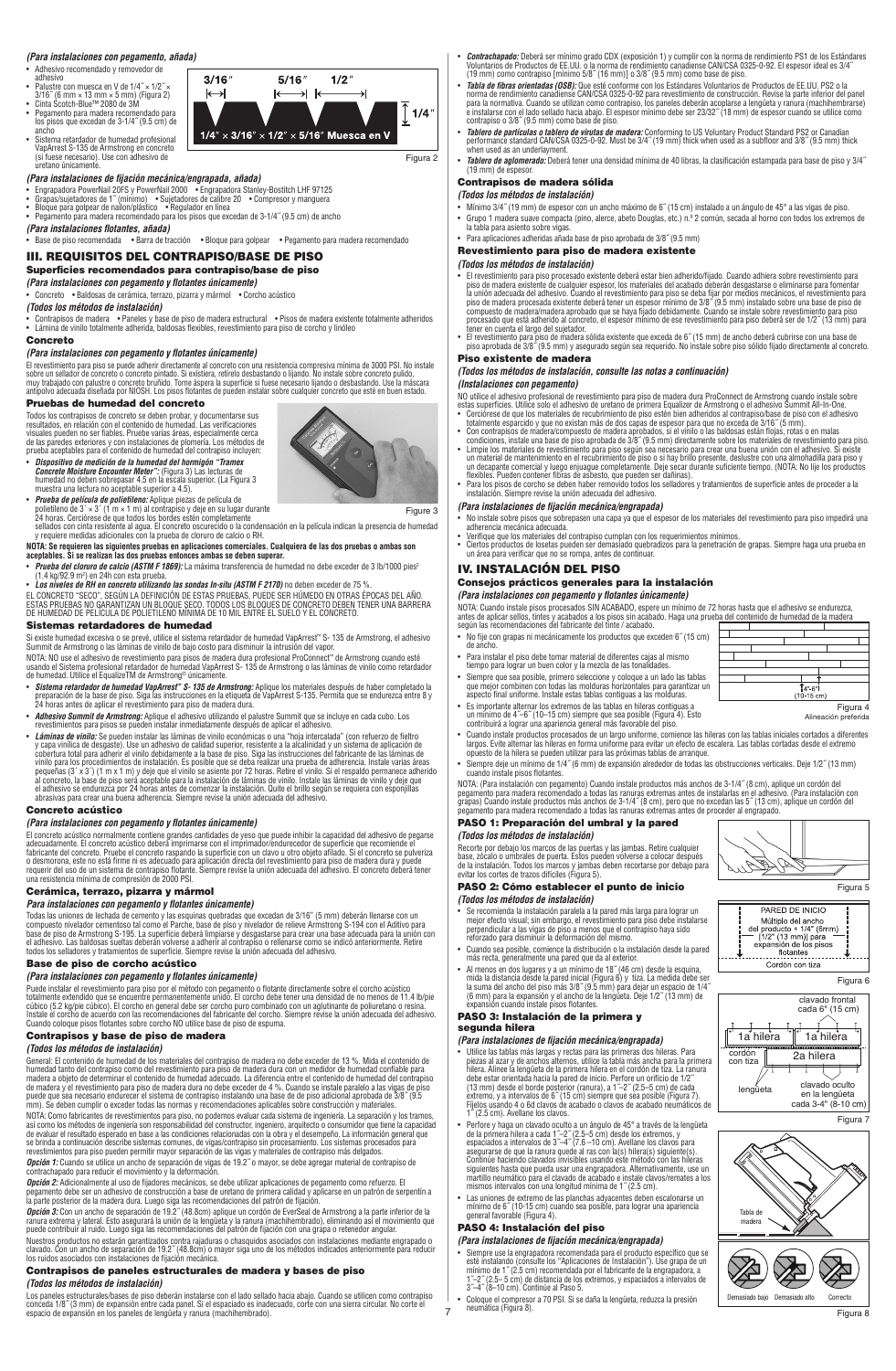### *(Para instalaciones con pegamento, añada)*

- Adhesivo recomendado y removedor de
- 
- 
- adhesivo<br>• Palustre con muesca en V de 1/4˝ × 1/2˝ ×<br>3/16˝ (6 mm × 13 mm × 5 mm) (Figura 2)<br>• Cinta Scotch-Blue™ 2080 de 3M<br>• Pegamento para madera recomendado para<br>ancho<br>ancho spisos que excedan de 3-1/4˝ (9.5 cm) de
- Sistema retardador de humedad profesional VapArrest S-135 de Armstrong en concreto (si fuese necesario). Use con adhesivo de uretano únicamente.



### *(Para instalaciones de fijación mecánica/engrapada, añada)*

- 
- Engrapadora PowerNail 20FS y PowerNail 2000 • Engrapadora Stanley-Bostitch LHF 97125<br>• Grapas/sujetadores de 1"(mínimo) • Sujetadores de calibre 20 • Compresor y manguera<br>• Bloque para golpear de nailon/plástico
- 
- *(Para instalaciones flotantes, añada)*

### • Base de piso recomendada • Barra de tracción • Bloque para golpear • Pegamento para madera recomendado III. REQUISITOS DEL CONTRAPISO/BASE DE PISO

# Superficies recomendados para contrapiso/base de piso

*(Para instalaciones con pegamento y flotantes únicamente)* • Concreto • Baldosas de cerámica, terrazo, pizarra y mármol • Corcho acústico

### *(Todos los métodos de instalación)*

• Contrapisos de madera • Paneles y base de piso de madera estructural • Pisos de madera existente totalmente adheridos • Lámina de vinilo totalmente adherida, baldosas flexibles, revestimiento para piso de corcho y linóleo

### Concreto

### *(Para instalaciones con pegamento y flotantes únicamente)*

El revestimiento para piso se puede adherir directamente al concreto con una resistencia compresiva mínima de 3000 PSI. No instale<br>sobre un sellador de concreto o concreto pintado. Si existiera, retírelo desbastando o lija

### Pruebas de humedad del concreto

Todos los contrapisos de concreto se deben probar, y documentarse sus<br>resultados, en relación con el contenido de humedad. Las verificaciones<br>visuales pueden no ser fiables. Pruebe varias áreas, especialmente cerca<br>de las

• *Dispositivo de medición de la humedad del hormigón "Tramex<br>Concrete Moisture Encounter Meter": (Figura 3) Las lecturas de<br>humedad no deben sobrepasar 4.5 en la escala superior. (La Figura 3<br>muestra una lectura no acepta* 



Figure 3

• Prueba de película de politeileno: Aplique piezas de película de personalismente película de película de poli<br>24 horas. Cerciórese de que todos los bordes estén completamente<br>24 horas. Cerciórese de que todos los bordes

NOTA: Se requieren las siguientes pruebas en aplicaciones comerciales. Cualquiera de las dos pruebas o ambas son<br>aceptables. Si se realizan las dos pruebas entonces ambas se deben superar.<br>• *Prueba del cloruro de calcio (* 

### Sistemas retardadores de humedad

- Si existe humedad excesiva o se prevé, utilice el sistema retardador de humedad VapArrest" S- 135 de Armstrong, el adhesivo<br>Summit de Armstrong o las láminas de vinilo de bajo costo para disminuir la intrusión del vapor.<br>N
- 
- 
- Adhesivo Summit de Armstrong: Aplique el adhesivo utilizando el paluatre Summit que se incluye en cada cubo. Los<br>restimientos para pisos se pueden instalar inmediatamente después de aplicar el adhesivo.<br>• Láminas de vini

### Concreto acústico

### *(Para instalaciones con pegamento y flotantes únicamente)*

El concreto acústico normalmente contiene grandes cantidades de yeso que puede inhibir la capacidad del adhesivo de pegarse<br>adecuadamente. El concreto acústico deberá imprimarse con el imprimador/endurecedor de superficie

### Cerámica, terrazo, pizarra y mármol

*Para instalaciones con pegamento y flotantes únicamente)*

Todas las uniones de lechada de cemento y las esquinas quebradas que excedan de 3/16" (5 mm) deberán llenarse con un<br>compuesto nivelador cementoso tal como el Parche, base de piso y nivelador de relieve Armstrong S-194 con

### Base de piso de corcho acústico

### *(Para instalaciones con pegamento y flotantes únicamente)*

Puede instalar el revestimiento para piso por el método con pegamento o flotante directamente sobre el corcho acústico<br>totalmente extendido que se encuentre permanentemente unido. El corcho debe tener una densidad de no me

# Contrapisos y base de piso de madera

(Todos los métodos de instalación)<br>encreal: El contenido de los materiales del contrapiso de madera no debe exceder de 13 %. Mida el contenido de<br>elementa: El contenido de humedad de los materiales del contrapiso de madera

**Opción 2:** Adicionalmente al uso de fijadores mecánicos, se debe utilizar aplicaciones de pegamento como refuerzo. El<br>pegamento debe ser un adhesivo de construcción a base de uretano de primera calidad y aplicarse en un p

Nuestros productos no estarán garantizados contra rajaduras o chasquidos asociados con instalaciones mediante engrapado o<br>clavado. Con un ancho de separación de 19.2″ (48.8cm) o mayor siga uno de los métodos indicados ante Contrapisos de paneles estructurales de madera y bases de piso

### *(Todos los métodos de instalación)*

Los paneles estructurales/bases de piso deberán instalarse con el lado sellado hacia abajo. Cuando se utilicen como contrapiso |<br>conceda 1/8″ (3 mm) de expansión entre cada panel. Si el espaciado es inadecuado, corte

- *Contrachapado:* Deberá ser mínimo grado CDX (exposición 1) y cumplir con la norma de rendimiento PS1 de los Estándares<br>Voluntarios de Productos de EE.UU. o la norma de rendimiento canadiense CAN/CSA 0325-0-92. El espeso
- Tabla de fibras orientadas (OSB): Que esté conforme con los Estándares Voluntarios de Productos de EE.UU. PS2 o la<br>norma de rendimiento canadiense CAN/CSA 0325-0-92 para revestimiento de construcción. Revise la parte inf
- *Tablero de partículas o tablero de virutas de madera:* Conforming to US Voluntary Product Standard PS2 or Canadian<br>performance standard CAN/CSA 0325-0-92. Must be 3/4″ (19 mm) thick when used as a subfloor and 3/8″ (9.5
- *Tablero de aglomerado:* Deberá tener una densidad mínima de 40 libras, la clasificación estampada para base de piso y 3/4˝ (19 mm) de espesor.

# Contrapisos de madera sólida

- *(Todos los métodos de instalación)*
- Mínimo 3/4˝ (19 mm) de espesor con un ancho máximo de 6˝ (15 cm) instalado a un ángulo de 45° a las vigas de piso. • Grupo 1 madera suave compacta (pino, alerce, abeto Douglas, etc.) n.º 2 común, secada al horno con todos los extremos de<br>· la tabla para asiento sobre vigas.<br>• Para aplicaciones adheridas añada base de piso aprobada
- 

## Revestimiento para piso de madera existente

- *(Todos los métodos de instalación)* El revestimiento para piso procesado existente deberá estar bien adherido/fijado. Cuando adhiera sobre revestimiento para piso e madera existente de cualquier espesor, los materiales del acchado deberán despastarse o elim
- Piso existente de madera

# *(Todos los métodos de instalación, consulte las notas a continuación)*

- 
- (Instalaciones con pegamento)<br>
NO utilica cientes con pegamento)<br>
NO utilica es al densivo profesional de revestimiento para piso de madera dura ProConnect de Armstrong cuando instale sobre<br>
estas superficies. Utilice sol
- 

### *(Para instalaciones de fijación mecánica/engrapada)*

- No instale sobre pisos que sobrepasen una capa ya que el espesor de los materiales del revestimiento para piso impedirá una adherencia mecánica adecuada.
- Verifique que los materiales del contrapiso cumplan con los requerimientos mínimos.<br>• Ciertos productos de losetas pueden ser demasiado quebradizos para la penetración de grapas. Siempre haga una prueba en<br>• un área
- IV. INSTALACIÓN DEL PISO

# Consejos prácticos generales para la instalación

**(Para instalaciones con pegamento y flotantes únicamente)**<br>NOTA: Cuando instale pisos procesados SIN ACABADO, espere un mínimo de 72 horas hasta que el adhesivo se endurezca,<br>antes de aplicar sellos, tintes y acabados a l

┱

T T

- No fije con grapas ni mecánicamente los productos que exceden 6˝ (15 cm) de ancho.
- Para instalar el piso debe tomar material de diferentes cajas al mismo
- tiempo para lograr un buen color y la mezcla de las tonalidades.<br>• Siempre que sea posible, primero seleccione y coloque a un lado las tablas<br>que mejor combinen con todas las molduras horizontales para garantizar un<br>aspect
- Es importante alternar los extremos de las tablas en hileras contiguas a un mínimo de 4˝–6˝ (10–15 cm) siempre que sea posible (Figura 4). Esto contribuirá a lograr una apariencia general más favorable del piso.
- Cuando instale productos procesados de un largo uniforme, comience las hileras con las tablas iniciales cortados a diferentes<br>largos. Evite alternar las hileras en forma uniforme para evitar un efecto de escalera. Las ta

Figura 4 Alineación preferida

⊤

┯

 $\frac{1}{4^{n} 6^{n}}$ 

Figura 5

Figura 6

clavado frontal cada 6" (15 cm)

m)

clavado oculto en la lengüeta cada 3-4" (8-10 cm)

2a hilera

1a hilera <sup>1</sup>1a hilera

PARED DE INICIO Midtiplo del ancho<br>del producto + 1/4" (6mm<br>=  $[1/2" (13 mm)]$  para<br>expansión de los pisos

flotantes 

Demasiado bajo Demasiado alto Correcto

**SEPTE** 

lengüeta

<u>NEEu</u>

Tabla de madera

cordón con tiza

Figura 7

Figura 8

率

• Siempre deje un mínimo de 1/4˝ (6 mm) de expansión alrededor de todas las obstrucciones verticales. Deje 1/2˝ (13 mm) cuando instale pisos flotantes.

NOTA: (Para instalación con pegamento) Cuando instale productos más anchos de 3-1/4″ (8 cm), aplique un cordón del<br>pegamento para madera recomendado a todas las ranuras extremas antes de instalarlas en el adhesivo. (Para i

# PASO 1: Preparación del umbral y la pared

# *(Todos los métodos de instalación)*

Recorte por debajo los marcos de las puertas y las jambas. Retire cualquier base, zócalo o umbrales de puerta. Estos pueden volverse a colocar después de la instalación. Todos los marcos y jambas deben recortarse por debajo para evitar los cortes de trazos difíciles (Figura 5).

### PASO 2: Cómo establecer el punto de inicio *(Todos los métodos de instalación)*

• Se recomienda la instalación paralela a la pared más larga para lograr un mejor efecto visual; sin embargo, el revestimiento para piso debe instalarse<br>perpendicular a las vigas de piso a menos que el contrapiso haya sido<br>reforzado para disminuir la deformación del mismo.

- 
- Cuando sea posible, comience la distribución o la instalación desde la pared<br>más recta, generalmente una pared que da al exterior.<br>A menos en dos lugares y a un mínimo de 18" (46 cm) desde la esquina,<br>mida la distancia

### PASO 3: Instalación de la primera y

# segunda hilera

- **(Para instalaciones de fijación mecánica/engrapada)**<br>
Utilice las tabas más largas y rectas para las primeras dos hileras. Para piezas al azar y de anchos alternos, utilice la tabla más ancha para la primera<br>
hiera. Alin
- 
- 

**(Para instalaciones de fijación mecánica/engrapada)**<br>
• Siempre use la engrapadora recomendada para el producto específico que se<br>
• Siemistalando (consulte los "Aplicaciones de Instalación"). Use grapa de un<br>
mínimo de

• Coloque el compresor a 70 PSI. Si se daña la lengüeta, reduzca la presión neumática (Figura 8).

PASO 4: Instalación del piso